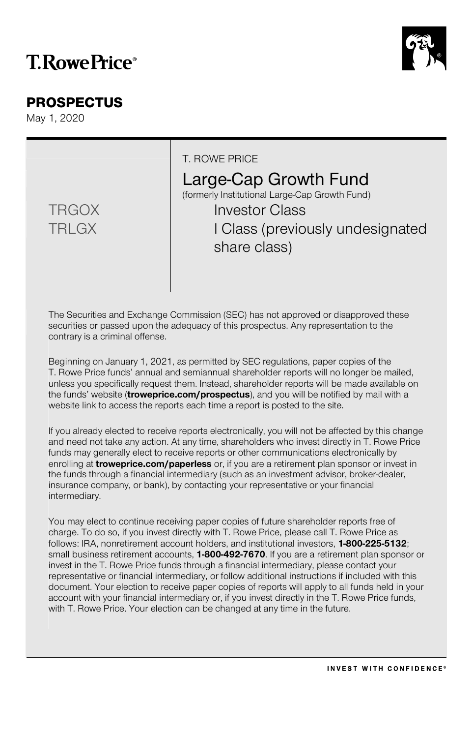# **T. Rowe Price**®

# PROSPECTUS

May 1, 2020

|                              | T. ROWE PRICE<br>Large-Cap Growth Fund<br>(formerly Institutional Large-Cap Growth Fund) |
|------------------------------|------------------------------------------------------------------------------------------|
| <b>TRGOX</b><br><b>TRLGX</b> | <b>Investor Class</b><br>I Class (previously undesignated<br>share class)                |

The Securities and Exchange Commission (SEC) has not approved or disapproved these securities or passed upon the adequacy of this prospectus. Any representation to the contrary is a criminal offense.

Beginning on January 1, 2021, as permitted by SEC regulations, paper copies of the T. Rowe Price funds' annual and semiannual shareholder reports will no longer be mailed, unless you specifically request them. Instead, shareholder reports will be made available on the funds' website (**troweprice.com/prospectus**), and you will be notified by mail with a website link to access the reports each time a report is posted to the site.

If you already elected to receive reports electronically, you will not be affected by this change and need not take any action. At any time, shareholders who invest directly in T. Rowe Price funds may generally elect to receive reports or other communications electronically by enrolling at **troweprice.com/paperless** or, if you are a retirement plan sponsor or invest in the funds through a financial intermediary (such as an investment advisor, broker-dealer, insurance company, or bank), by contacting your representative or your financial intermediary.

You may elect to continue receiving paper copies of future shareholder reports free of charge. To do so, if you invest directly with T. Rowe Price, please call T. Rowe Price as follows: IRA, nonretirement account holders, and institutional investors, **1-800-225-5132**; small business retirement accounts, **1-800-492-7670**. If you are a retirement plan sponsor or invest in the T. Rowe Price funds through a financial intermediary, please contact your representative or financial intermediary, or follow additional instructions if included with this document. Your election to receive paper copies of reports will apply to all funds held in your account with your financial intermediary or, if you invest directly in the T. Rowe Price funds, with T. Rowe Price. Your election can be changed at any time in the future.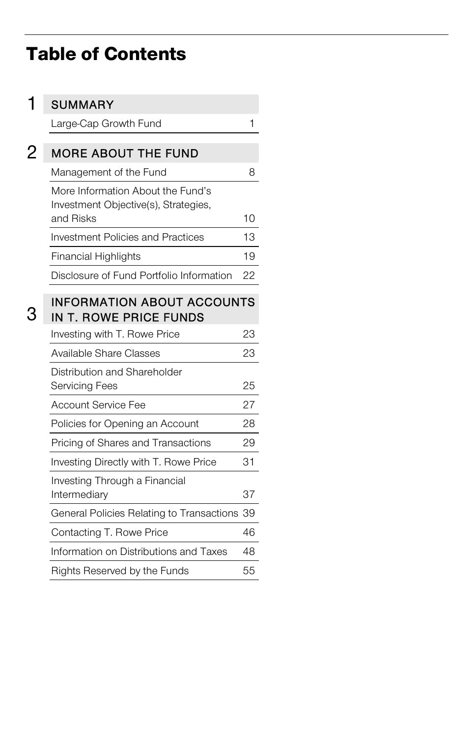# Table of Contents

|   | <b>SUMMARY</b>                                                                         |    |
|---|----------------------------------------------------------------------------------------|----|
|   | Large-Cap Growth Fund                                                                  | 1  |
| 2 | <b>MORE ABOUT THE FUND</b>                                                             |    |
|   | Management of the Fund                                                                 | 8  |
|   | More Information About the Fund's<br>Investment Objective(s), Strategies,<br>and Risks | 10 |
|   | <b>Investment Policies and Practices</b>                                               | 13 |
|   | <b>Financial Highlights</b>                                                            | 19 |
|   | Disclosure of Fund Portfolio Information                                               | 22 |
|   | <b>INFORMATION ABOUT ACCOUNTS</b><br><b>IN T. ROWE PRICE FUNDS</b>                     |    |
|   | Investing with T. Rowe Price                                                           | 23 |
|   | Available Share Classes                                                                | 23 |
|   | Distribution and Shareholder<br><b>Servicing Fees</b>                                  | 25 |
|   | <b>Account Service Fee</b>                                                             | 27 |
|   | Policies for Opening an Account                                                        | 28 |
|   | Pricing of Shares and Transactions                                                     | 29 |
|   | Investing Directly with T. Rowe Price                                                  | 31 |
|   | Investing Through a Financial<br>Intermediary                                          | 37 |
|   | General Policies Relating to Transactions 39                                           |    |
|   | Contacting T. Rowe Price                                                               | 46 |
|   | Information on Distributions and Taxes                                                 | 48 |
|   | Rights Reserved by the Funds                                                           | 55 |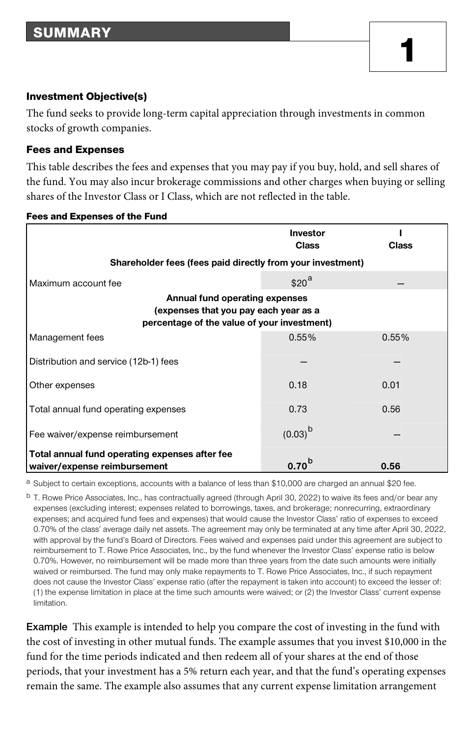#### Investment Objective(s)

The fund seeks to provide long-term capital appreciation through investments in common stocks of growth companies.

#### Fees and Expenses

This table describes the fees and expenses that you may pay if you buy, hold, and sell shares of the fund. You may also incur brokerage commissions and other charges when buying or selling shares of the Investor Class or I Class, which are not reflected in the table.

|                                                                                                                        | Investor<br><b>Class</b> | <b>Class</b> |
|------------------------------------------------------------------------------------------------------------------------|--------------------------|--------------|
| Shareholder fees (fees paid directly from your investment)                                                             |                          |              |
| Maximum account fee                                                                                                    | \$20 <sup>a</sup>        |              |
| Annual fund operating expenses<br>(expenses that you pay each year as a<br>percentage of the value of your investment) |                          |              |
| Management fees                                                                                                        | 0.55%                    | 0.55%        |
| Distribution and service (12b-1) fees                                                                                  |                          |              |
| Other expenses                                                                                                         | 0.18                     | 0.01         |
| Total annual fund operating expenses                                                                                   | 0.73                     | 0.56         |
| Fee waiver/expense reimbursement                                                                                       | $(0.03)^{b}$             |              |
| Total annual fund operating expenses after fee                                                                         |                          |              |
| waiver/expense reimbursement                                                                                           | 0.70 <sup>b</sup>        | 0.56         |

Fees and Expenses of the Fund

a Subject to certain exceptions, accounts with a balance of less than \$10,000 are charged an annual \$20 fee.

<sup>b</sup> T. Rowe Price Associates, Inc., has contractually agreed (through April 30, 2022) to waive its fees and/or bear any expenses (excluding interest; expenses related to borrowings, taxes, and brokerage; nonrecurring, extraordinary expenses; and acquired fund fees and expenses) that would cause the Investor Class' ratio of expenses to exceed 0.70% of the class' average daily net assets. The agreement may only be terminated at any time after April 30, 2022, with approval by the fund's Board of Directors. Fees waived and expenses paid under this agreement are subject to reimbursement to T. Rowe Price Associates, Inc., by the fund whenever the Investor Class' expense ratio is below 0.70%. However, no reimbursement will be made more than three years from the date such amounts were initially waived or reimbursed. The fund may only make repayments to T. Rowe Price Associates, Inc., if such repayment does not cause the Investor Class' expense ratio (after the repayment is taken into account) to exceed the lesser of: (1) the expense limitation in place at the time such amounts were waived; or (2) the Investor Class' current expense limitation.

**Example** This example is intended to help you compare the cost of investing in the fund with the cost of investing in other mutual funds. The example assumes that you invest \$10,000 in the fund for the time periods indicated and then redeem all of your shares at the end of those periods, that your investment has a 5% return each year, and that the fund's operating expenses remain the same. The example also assumes that any current expense limitation arrangement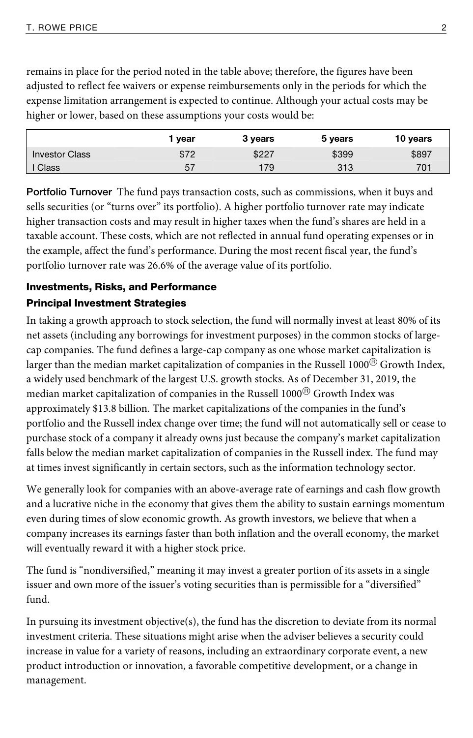remains in place for the period noted in the table above; therefore, the figures have been adjusted to reflect fee waivers or expense reimbursements only in the periods for which the expense limitation arrangement is expected to continue. Although your actual costs may be higher or lower, based on these assumptions your costs would be:

|                       | l vear | 3 years | 5 years | 10 years |
|-----------------------|--------|---------|---------|----------|
| <b>Investor Class</b> | \$72   | \$227   | \$399   | \$897    |
| Class                 | 57     | 179     | 313     | 701      |

**Portfolio Turnover** The fund pays transaction costs, such as commissions, when it buys and sells securities (or "turns over" its portfolio). A higher portfolio turnover rate may indicate higher transaction costs and may result in higher taxes when the fund's shares are held in a taxable account. These costs, which are not reflected in annual fund operating expenses or in the example, affect the fund's performance. During the most recent fiscal year, the fund's portfolio turnover rate was 26.6% of the average value of its portfolio.

# Investments, Risks, and Performance Principal Investment Strategies

In taking a growth approach to stock selection, the fund will normally invest at least 80% of its net assets (including any borrowings for investment purposes) in the common stocks of largecap companies. The fund defines a large-cap company as one whose market capitalization is larger than the median market capitalization of companies in the Russell 1000 $\textcircled{B}$  Growth Index, a widely used benchmark of the largest U.S. growth stocks. As of December 31, 2019, the median market capitalization of companies in the Russell  $1000^{\circ}$  Growth Index was approximately \$13.8 billion. The market capitalizations of the companies in the fund's portfolio and the Russell index change over time; the fund will not automatically sell or cease to purchase stock of a company it already owns just because the company's market capitalization falls below the median market capitalization of companies in the Russell index. The fund may at times invest significantly in certain sectors, such as the information technology sector.

We generally look for companies with an above-average rate of earnings and cash flow growth and a lucrative niche in the economy that gives them the ability to sustain earnings momentum even during times of slow economic growth. As growth investors, we believe that when a company increases its earnings faster than both inflation and the overall economy, the market will eventually reward it with a higher stock price.

The fund is "nondiversified," meaning it may invest a greater portion of its assets in a single issuer and own more of the issuer's voting securities than is permissible for a "diversified" fund.

In pursuing its investment objective(s), the fund has the discretion to deviate from its normal investment criteria. These situations might arise when the adviser believes a security could increase in value for a variety of reasons, including an extraordinary corporate event, a new product introduction or innovation, a favorable competitive development, or a change in management.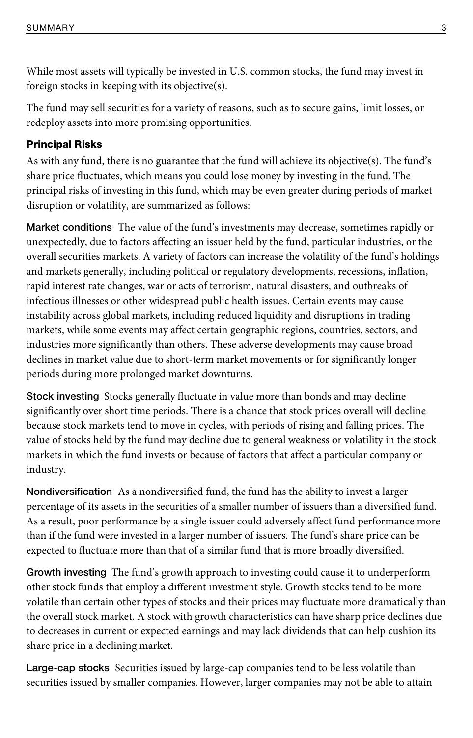While most assets will typically be invested in U.S. common stocks, the fund may invest in foreign stocks in keeping with its objective(s).

The fund may sell securities for a variety of reasons, such as to secure gains, limit losses, or redeploy assets into more promising opportunities.

### Principal Risks

As with any fund, there is no guarantee that the fund will achieve its objective(s). The fund's share price fluctuates, which means you could lose money by investing in the fund. The principal risks of investing in this fund, which may be even greater during periods of market disruption or volatility, are summarized as follows:

**Market conditions** The value of the fund's investments may decrease, sometimes rapidly or unexpectedly, due to factors affecting an issuer held by the fund, particular industries, or the overall securities markets. A variety of factors can increase the volatility of the fund's holdings and markets generally, including political or regulatory developments, recessions, inflation, rapid interest rate changes, war or acts of terrorism, natural disasters, and outbreaks of infectious illnesses or other widespread public health issues. Certain events may cause instability across global markets, including reduced liquidity and disruptions in trading markets, while some events may affect certain geographic regions, countries, sectors, and industries more significantly than others. These adverse developments may cause broad declines in market value due to short-term market movements or for significantly longer periods during more prolonged market downturns.

**Stock investing** Stocks generally fluctuate in value more than bonds and may decline significantly over short time periods. There is a chance that stock prices overall will decline because stock markets tend to move in cycles, with periods of rising and falling prices. The value of stocks held by the fund may decline due to general weakness or volatility in the stock markets in which the fund invests or because of factors that affect a particular company or industry.

**Nondiversification** As a nondiversified fund, the fund has the ability to invest a larger percentage of its assets in the securities of a smaller number of issuers than a diversified fund. As a result, poor performance by a single issuer could adversely affect fund performance more than if the fund were invested in a larger number of issuers. The fund's share price can be expected to fluctuate more than that of a similar fund that is more broadly diversified.

**Growth investing** The fund's growth approach to investing could cause it to underperform other stock funds that employ a different investment style. Growth stocks tend to be more volatile than certain other types of stocks and their prices may fluctuate more dramatically than the overall stock market. A stock with growth characteristics can have sharp price declines due to decreases in current or expected earnings and may lack dividends that can help cushion its share price in a declining market.

**Large-cap stocks** Securities issued by large-cap companies tend to be less volatile than securities issued by smaller companies. However, larger companies may not be able to attain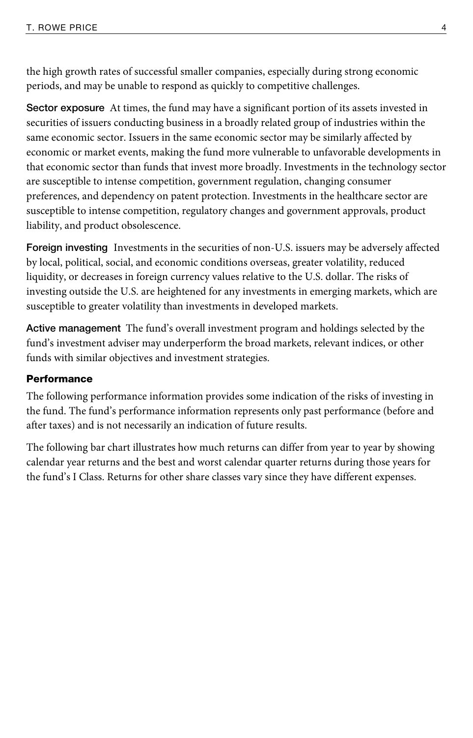the high growth rates of successful smaller companies, especially during strong economic periods, and may be unable to respond as quickly to competitive challenges.

**Sector exposure** At times, the fund may have a significant portion of its assets invested in securities of issuers conducting business in a broadly related group of industries within the same economic sector. Issuers in the same economic sector may be similarly affected by economic or market events, making the fund more vulnerable to unfavorable developments in that economic sector than funds that invest more broadly. Investments in the technology sector are susceptible to intense competition, government regulation, changing consumer preferences, and dependency on patent protection. Investments in the healthcare sector are susceptible to intense competition, regulatory changes and government approvals, product liability, and product obsolescence.

**Foreign investing** Investments in the securities of non-U.S. issuers may be adversely affected by local, political, social, and economic conditions overseas, greater volatility, reduced liquidity, or decreases in foreign currency values relative to the U.S. dollar. The risks of investing outside the U.S. are heightened for any investments in emerging markets, which are susceptible to greater volatility than investments in developed markets.

**Active management** The fund's overall investment program and holdings selected by the fund's investment adviser may underperform the broad markets, relevant indices, or other funds with similar objectives and investment strategies.

#### **Performance**

The following performance information provides some indication of the risks of investing in the fund. The fund's performance information represents only past performance (before and after taxes) and is not necessarily an indication of future results.

The following bar chart illustrates how much returns can differ from year to year by showing calendar year returns and the best and worst calendar quarter returns during those years for the fund's I Class. Returns for other share classes vary since they have different expenses.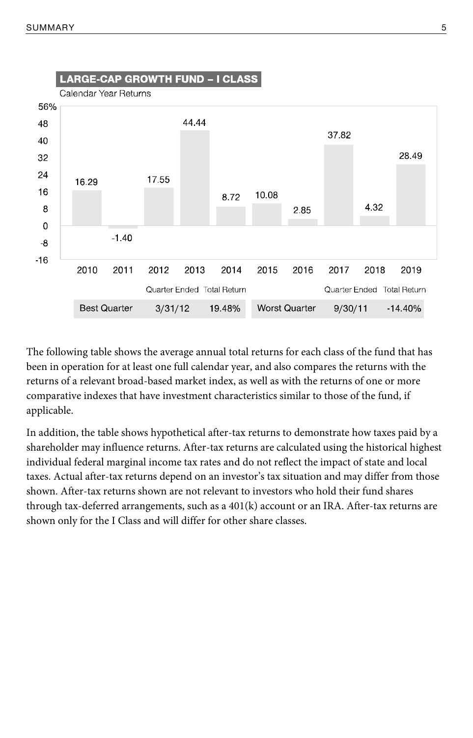

The following table shows the average annual total returns for each class of the fund that has been in operation for at least one full calendar year, and also compares the returns with the returns of a relevant broad-based market index, as well as with the returns of one or more comparative indexes that have investment characteristics similar to those of the fund, if applicable.

In addition, the table shows hypothetical after-tax returns to demonstrate how taxes paid by a shareholder may influence returns. After-tax returns are calculated using the historical highest individual federal marginal income tax rates and do not reflect the impact of state and local taxes. Actual after-tax returns depend on an investor's tax situation and may differ from those shown. After-tax returns shown are not relevant to investors who hold their fund shares through tax-deferred arrangements, such as a 401(k) account or an IRA. After-tax returns are shown only for the I Class and will differ for other share classes.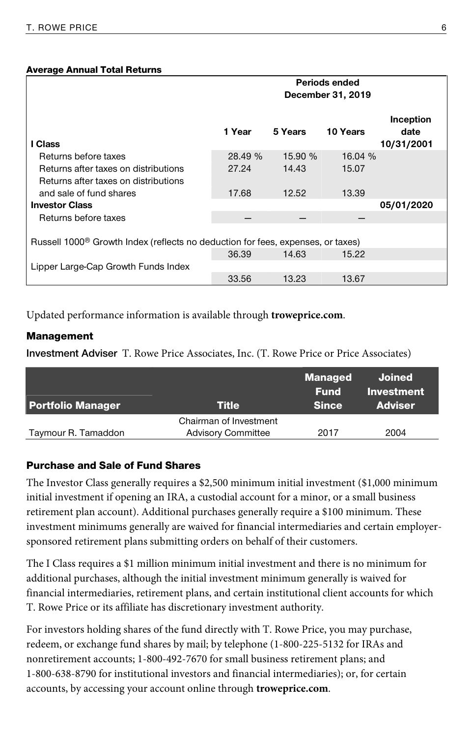#### Average Annual Total Returns

|                                                                                             | Periods ended<br>December 31, 2019 |         |          |                                 |  |
|---------------------------------------------------------------------------------------------|------------------------------------|---------|----------|---------------------------------|--|
| I Class                                                                                     | 1 Year                             | 5 Years | 10 Years | Inception<br>date<br>10/31/2001 |  |
| Returns before taxes                                                                        | 28.49 %                            | 15.90 % | 16.04 %  |                                 |  |
| Returns after taxes on distributions<br>Returns after taxes on distributions                | 27.24                              | 14.43   | 15.07    |                                 |  |
| and sale of fund shares                                                                     | 17.68                              | 12.52   | 13.39    |                                 |  |
| <b>Investor Class</b>                                                                       |                                    |         |          | 05/01/2020                      |  |
| Returns before taxes                                                                        |                                    |         |          |                                 |  |
| Russell 1000 <sup>®</sup> Growth Index (reflects no deduction for fees, expenses, or taxes) |                                    |         |          |                                 |  |
|                                                                                             | 36.39                              | 14.63   | 15.22    |                                 |  |
| Lipper Large-Cap Growth Funds Index                                                         |                                    |         |          |                                 |  |
|                                                                                             | 33.56                              | 13.23   | 13.67    |                                 |  |

Updated performance information is available through **troweprice.com**.

#### Management

**Investment Adviser** T. Rowe Price Associates, Inc. (T. Rowe Price or Price Associates)

| <b>Portfolio Manager</b> | Title                     | <b>Managed</b><br>Fund<br><b>Since</b> | Joined<br>Investment<br><b>Adviser</b> |
|--------------------------|---------------------------|----------------------------------------|----------------------------------------|
|                          | Chairman of Investment    |                                        |                                        |
| Taymour R. Tamaddon      | <b>Advisory Committee</b> | 2017                                   | 2004                                   |

#### Purchase and Sale of Fund Shares

The Investor Class generally requires a \$2,500 minimum initial investment (\$1,000 minimum initial investment if opening an IRA, a custodial account for a minor, or a small business retirement plan account). Additional purchases generally require a \$100 minimum. These investment minimums generally are waived for financial intermediaries and certain employersponsored retirement plans submitting orders on behalf of their customers.

The I Class requires a \$1 million minimum initial investment and there is no minimum for additional purchases, although the initial investment minimum generally is waived for financial intermediaries, retirement plans, and certain institutional client accounts for which T. Rowe Price or its affiliate has discretionary investment authority.

For investors holding shares of the fund directly with T. Rowe Price, you may purchase, redeem, or exchange fund shares by mail; by telephone (1-800-225-5132 for IRAs and nonretirement accounts; 1-800-492-7670 for small business retirement plans; and 1-800-638-8790 for institutional investors and financial intermediaries); or, for certain accounts, by accessing your account online through **troweprice.com**.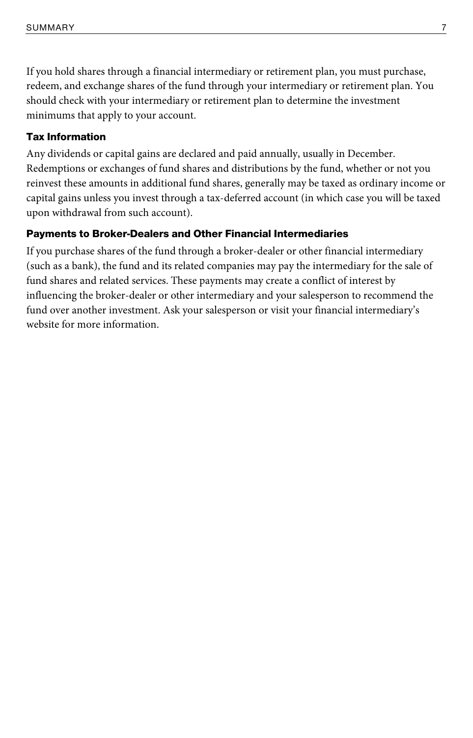If you hold shares through a financial intermediary or retirement plan, you must purchase, redeem, and exchange shares of the fund through your intermediary or retirement plan. You should check with your intermediary or retirement plan to determine the investment minimums that apply to your account.

#### Tax Information

Any dividends or capital gains are declared and paid annually, usually in December. Redemptions or exchanges of fund shares and distributions by the fund, whether or not you reinvest these amounts in additional fund shares, generally may be taxed as ordinary income or capital gains unless you invest through a tax-deferred account (in which case you will be taxed upon withdrawal from such account).

#### Payments to Broker-Dealers and Other Financial Intermediaries

If you purchase shares of the fund through a broker-dealer or other financial intermediary (such as a bank), the fund and its related companies may pay the intermediary for the sale of fund shares and related services. These payments may create a conflict of interest by influencing the broker-dealer or other intermediary and your salesperson to recommend the fund over another investment. Ask your salesperson or visit your financial intermediary's website for more information.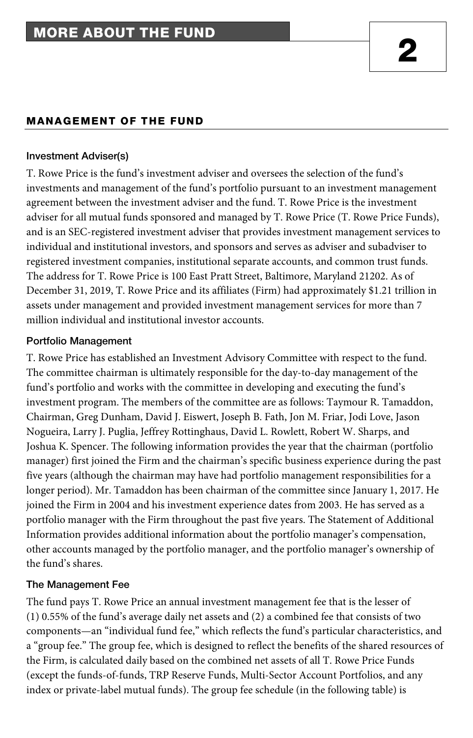#### MANAGEMENT OF THE FUND

#### **Investment Adviser(s)**

T. Rowe Price is the fund's investment adviser and oversees the selection of the fund's investments and management of the fund's portfolio pursuant to an investment management agreement between the investment adviser and the fund. T. Rowe Price is the investment adviser for all mutual funds sponsored and managed by T. Rowe Price (T. Rowe Price Funds), and is an SEC-registered investment adviser that provides investment management services to individual and institutional investors, and sponsors and serves as adviser and subadviser to registered investment companies, institutional separate accounts, and common trust funds. The address for T. Rowe Price is 100 East Pratt Street, Baltimore, Maryland 21202. As of December 31, 2019, T. Rowe Price and its affiliates (Firm) had approximately \$1.21 trillion in assets under management and provided investment management services for more than 7 million individual and institutional investor accounts.

#### **Portfolio Management**

T. Rowe Price has established an Investment Advisory Committee with respect to the fund. The committee chairman is ultimately responsible for the day-to-day management of the fund's portfolio and works with the committee in developing and executing the fund's investment program. The members of the committee are as follows: Taymour R. Tamaddon, Chairman, Greg Dunham, David J. Eiswert, Joseph B. Fath, Jon M. Friar, Jodi Love, Jason Nogueira, Larry J. Puglia, Jeffrey Rottinghaus, David L. Rowlett, Robert W. Sharps, and Joshua K. Spencer. The following information provides the year that the chairman (portfolio manager) first joined the Firm and the chairman's specific business experience during the past five years (although the chairman may have had portfolio management responsibilities for a longer period). Mr. Tamaddon has been chairman of the committee since January 1, 2017. He joined the Firm in 2004 and his investment experience dates from 2003. He has served as a portfolio manager with the Firm throughout the past five years. The Statement of Additional Information provides additional information about the portfolio manager's compensation, other accounts managed by the portfolio manager, and the portfolio manager's ownership of the fund's shares.

#### **The Management Fee**

The fund pays T. Rowe Price an annual investment management fee that is the lesser of (1) 0.55% of the fund's average daily net assets and (2) a combined fee that consists of two components—an "individual fund fee," which reflects the fund's particular characteristics, and a "group fee." The group fee, which is designed to reflect the benefits of the shared resources of the Firm, is calculated daily based on the combined net assets of all T. Rowe Price Funds (except the funds-of-funds, TRP Reserve Funds, Multi-Sector Account Portfolios, and any index or private-label mutual funds). The group fee schedule (in the following table) is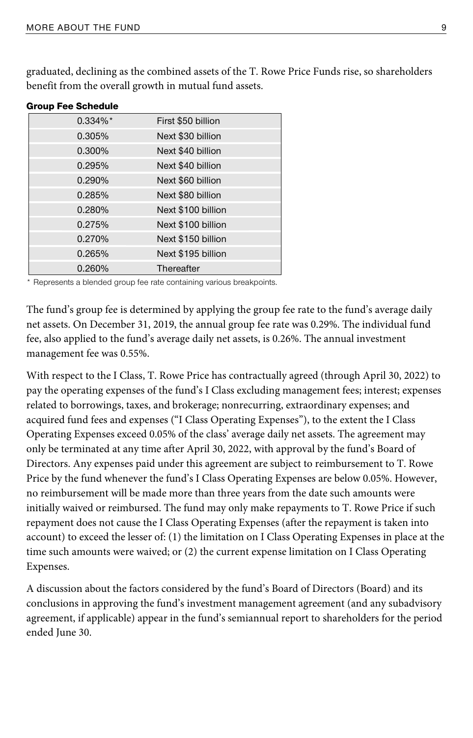graduated, declining as the combined assets of the T. Rowe Price Funds rise, so shareholders benefit from the overall growth in mutual fund assets.

| anaah i ee aaneaale |                    |
|---------------------|--------------------|
| $0.334\%$ *         | First \$50 billion |
| 0.305%              | Next \$30 billion  |
| $0.300\%$           | Next \$40 billion  |
| 0.295%              | Next \$40 billion  |
| 0.290%              | Next \$60 billion  |
| 0.285%              | Next \$80 billion  |
| 0.280%              | Next \$100 billion |
| 0.275%              | Next \$100 billion |
| 0.270%              | Next \$150 billion |
| 0.265%              | Next \$195 billion |
| 0.260%              | Thereafter         |

Group Fee Schedule

\* Represents a blended group fee rate containing various breakpoints.

The fund's group fee is determined by applying the group fee rate to the fund's average daily net assets. On December 31, 2019, the annual group fee rate was 0.29%. The individual fund fee, also applied to the fund's average daily net assets, is 0.26%. The annual investment management fee was 0.55%.

With respect to the I Class, T. Rowe Price has contractually agreed (through April 30, 2022) to pay the operating expenses of the fund's I Class excluding management fees; interest; expenses related to borrowings, taxes, and brokerage; nonrecurring, extraordinary expenses; and acquired fund fees and expenses ("I Class Operating Expenses"), to the extent the I Class Operating Expenses exceed 0.05% of the class' average daily net assets. The agreement may only be terminated at any time after April 30, 2022, with approval by the fund's Board of Directors. Any expenses paid under this agreement are subject to reimbursement to T. Rowe Price by the fund whenever the fund's I Class Operating Expenses are below 0.05%. However, no reimbursement will be made more than three years from the date such amounts were initially waived or reimbursed. The fund may only make repayments to T. Rowe Price if such repayment does not cause the I Class Operating Expenses (after the repayment is taken into account) to exceed the lesser of: (1) the limitation on I Class Operating Expenses in place at the time such amounts were waived; or (2) the current expense limitation on I Class Operating Expenses.

A discussion about the factors considered by the fund's Board of Directors (Board) and its conclusions in approving the fund's investment management agreement (and any subadvisory agreement, if applicable) appear in the fund's semiannual report to shareholders for the period ended June 30.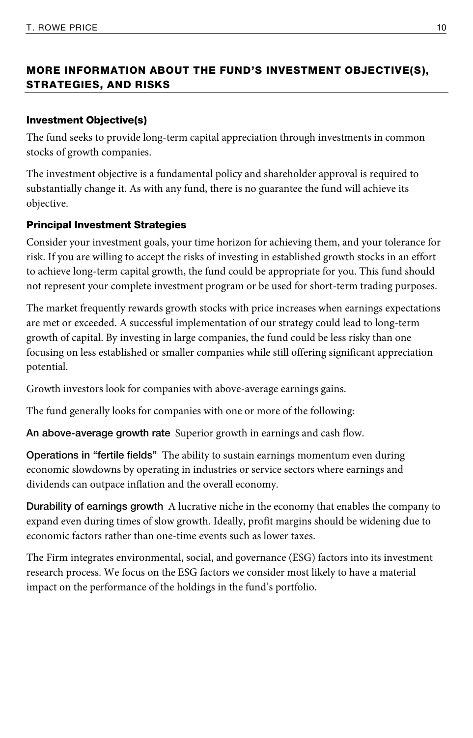# MORE INFORMATION ABOUT THE FUND'S INVESTMENT OBJECTIVE(S), STRATEGIES, AND RISKS

# Investment Objective(s)

The fund seeks to provide long-term capital appreciation through investments in common stocks of growth companies.

The investment objective is a fundamental policy and shareholder approval is required to substantially change it. As with any fund, there is no guarantee the fund will achieve its objective.

# Principal Investment Strategies

Consider your investment goals, your time horizon for achieving them, and your tolerance for risk. If you are willing to accept the risks of investing in established growth stocks in an effort to achieve long-term capital growth, the fund could be appropriate for you. This fund should not represent your complete investment program or be used for short-term trading purposes.

The market frequently rewards growth stocks with price increases when earnings expectations are met or exceeded. A successful implementation of our strategy could lead to long-term growth of capital. By investing in large companies, the fund could be less risky than one focusing on less established or smaller companies while still offering significant appreciation potential.

Growth investors look for companies with above-average earnings gains.

The fund generally looks for companies with one or more of the following:

**An above-average growth rate** Superior growth in earnings and cash flow.

**Operations in "fertile fields"** The ability to sustain earnings momentum even during economic slowdowns by operating in industries or service sectors where earnings and dividends can outpace inflation and the overall economy.

**Durability of earnings growth** A lucrative niche in the economy that enables the company to expand even during times of slow growth. Ideally, profit margins should be widening due to economic factors rather than one-time events such as lower taxes.

The Firm integrates environmental, social, and governance (ESG) factors into its investment research process. We focus on the ESG factors we consider most likely to have a material impact on the performance of the holdings in the fund's portfolio.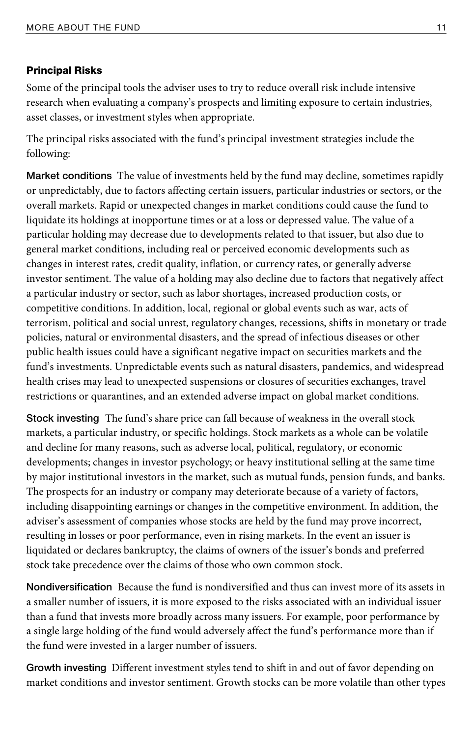#### Principal Risks

Some of the principal tools the adviser uses to try to reduce overall risk include intensive research when evaluating a company's prospects and limiting exposure to certain industries, asset classes, or investment styles when appropriate.

The principal risks associated with the fund's principal investment strategies include the following:

**Market conditions** The value of investments held by the fund may decline, sometimes rapidly or unpredictably, due to factors affecting certain issuers, particular industries or sectors, or the overall markets. Rapid or unexpected changes in market conditions could cause the fund to liquidate its holdings at inopportune times or at a loss or depressed value. The value of a particular holding may decrease due to developments related to that issuer, but also due to general market conditions, including real or perceived economic developments such as changes in interest rates, credit quality, inflation, or currency rates, or generally adverse investor sentiment. The value of a holding may also decline due to factors that negatively affect a particular industry or sector, such as labor shortages, increased production costs, or competitive conditions. In addition, local, regional or global events such as war, acts of terrorism, political and social unrest, regulatory changes, recessions, shifts in monetary or trade policies, natural or environmental disasters, and the spread of infectious diseases or other public health issues could have a significant negative impact on securities markets and the fund's investments. Unpredictable events such as natural disasters, pandemics, and widespread health crises may lead to unexpected suspensions or closures of securities exchanges, travel restrictions or quarantines, and an extended adverse impact on global market conditions.

**Stock investing** The fund's share price can fall because of weakness in the overall stock markets, a particular industry, or specific holdings. Stock markets as a whole can be volatile and decline for many reasons, such as adverse local, political, regulatory, or economic developments; changes in investor psychology; or heavy institutional selling at the same time by major institutional investors in the market, such as mutual funds, pension funds, and banks. The prospects for an industry or company may deteriorate because of a variety of factors, including disappointing earnings or changes in the competitive environment. In addition, the adviser's assessment of companies whose stocks are held by the fund may prove incorrect, resulting in losses or poor performance, even in rising markets. In the event an issuer is liquidated or declares bankruptcy, the claims of owners of the issuer's bonds and preferred stock take precedence over the claims of those who own common stock.

**Nondiversification** Because the fund is nondiversified and thus can invest more of its assets in a smaller number of issuers, it is more exposed to the risks associated with an individual issuer than a fund that invests more broadly across many issuers. For example, poor performance by a single large holding of the fund would adversely affect the fund's performance more than if the fund were invested in a larger number of issuers.

**Growth investing** Different investment styles tend to shift in and out of favor depending on market conditions and investor sentiment. Growth stocks can be more volatile than other types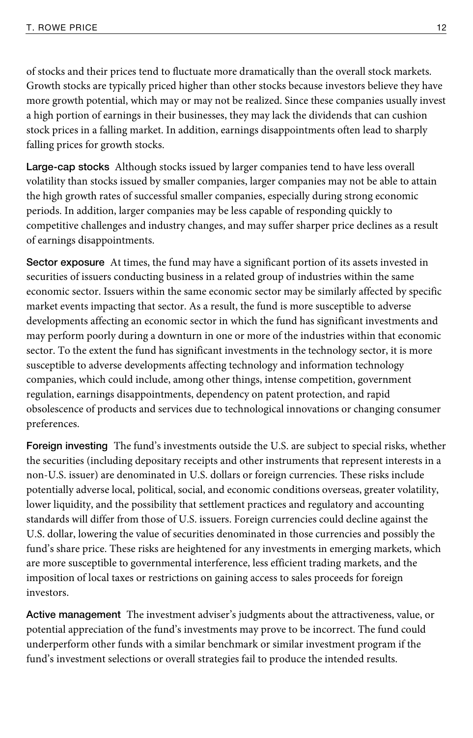of stocks and their prices tend to fluctuate more dramatically than the overall stock markets. Growth stocks are typically priced higher than other stocks because investors believe they have more growth potential, which may or may not be realized. Since these companies usually invest a high portion of earnings in their businesses, they may lack the dividends that can cushion stock prices in a falling market. In addition, earnings disappointments often lead to sharply falling prices for growth stocks.

**Large-cap stocks** Although stocks issued by larger companies tend to have less overall volatility than stocks issued by smaller companies, larger companies may not be able to attain the high growth rates of successful smaller companies, especially during strong economic periods. In addition, larger companies may be less capable of responding quickly to competitive challenges and industry changes, and may suffer sharper price declines as a result of earnings disappointments.

**Sector exposure** At times, the fund may have a significant portion of its assets invested in securities of issuers conducting business in a related group of industries within the same economic sector. Issuers within the same economic sector may be similarly affected by specific market events impacting that sector. As a result, the fund is more susceptible to adverse developments affecting an economic sector in which the fund has significant investments and may perform poorly during a downturn in one or more of the industries within that economic sector. To the extent the fund has significant investments in the technology sector, it is more susceptible to adverse developments affecting technology and information technology companies, which could include, among other things, intense competition, government regulation, earnings disappointments, dependency on patent protection, and rapid obsolescence of products and services due to technological innovations or changing consumer preferences.

**Foreign investing** The fund's investments outside the U.S. are subject to special risks, whether the securities (including depositary receipts and other instruments that represent interests in a non-U.S. issuer) are denominated in U.S. dollars or foreign currencies. These risks include potentially adverse local, political, social, and economic conditions overseas, greater volatility, lower liquidity, and the possibility that settlement practices and regulatory and accounting standards will differ from those of U.S. issuers. Foreign currencies could decline against the U.S. dollar, lowering the value of securities denominated in those currencies and possibly the fund's share price. These risks are heightened for any investments in emerging markets, which are more susceptible to governmental interference, less efficient trading markets, and the imposition of local taxes or restrictions on gaining access to sales proceeds for foreign investors.

**Active management** The investment adviser's judgments about the attractiveness, value, or potential appreciation of the fund's investments may prove to be incorrect. The fund could underperform other funds with a similar benchmark or similar investment program if the fund's investment selections or overall strategies fail to produce the intended results.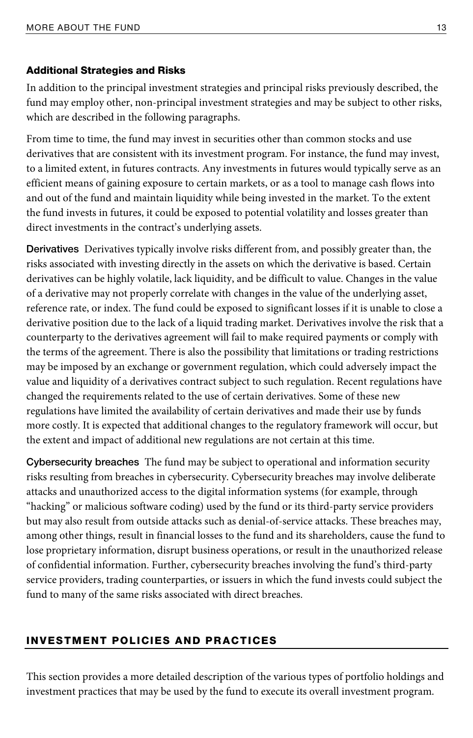#### Additional Strategies and Risks

In addition to the principal investment strategies and principal risks previously described, the fund may employ other, non-principal investment strategies and may be subject to other risks, which are described in the following paragraphs.

From time to time, the fund may invest in securities other than common stocks and use derivatives that are consistent with its investment program. For instance, the fund may invest, to a limited extent, in futures contracts. Any investments in futures would typically serve as an efficient means of gaining exposure to certain markets, or as a tool to manage cash flows into and out of the fund and maintain liquidity while being invested in the market. To the extent the fund invests in futures, it could be exposed to potential volatility and losses greater than direct investments in the contract's underlying assets.

**Derivatives** Derivatives typically involve risks different from, and possibly greater than, the risks associated with investing directly in the assets on which the derivative is based. Certain derivatives can be highly volatile, lack liquidity, and be difficult to value. Changes in the value of a derivative may not properly correlate with changes in the value of the underlying asset, reference rate, or index. The fund could be exposed to significant losses if it is unable to close a derivative position due to the lack of a liquid trading market. Derivatives involve the risk that a counterparty to the derivatives agreement will fail to make required payments or comply with the terms of the agreement. There is also the possibility that limitations or trading restrictions may be imposed by an exchange or government regulation, which could adversely impact the value and liquidity of a derivatives contract subject to such regulation. Recent regulations have changed the requirements related to the use of certain derivatives. Some of these new regulations have limited the availability of certain derivatives and made their use by funds more costly. It is expected that additional changes to the regulatory framework will occur, but the extent and impact of additional new regulations are not certain at this time.

**Cybersecurity breaches** The fund may be subject to operational and information security risks resulting from breaches in cybersecurity. Cybersecurity breaches may involve deliberate attacks and unauthorized access to the digital information systems (for example, through "hacking" or malicious software coding) used by the fund or its third-party service providers but may also result from outside attacks such as denial-of-service attacks. These breaches may, among other things, result in financial losses to the fund and its shareholders, cause the fund to lose proprietary information, disrupt business operations, or result in the unauthorized release of confidential information. Further, cybersecurity breaches involving the fund's third-party service providers, trading counterparties, or issuers in which the fund invests could subject the fund to many of the same risks associated with direct breaches.

#### INVESTMENT POLICIES AND PRACTICES

This section provides a more detailed description of the various types of portfolio holdings and investment practices that may be used by the fund to execute its overall investment program.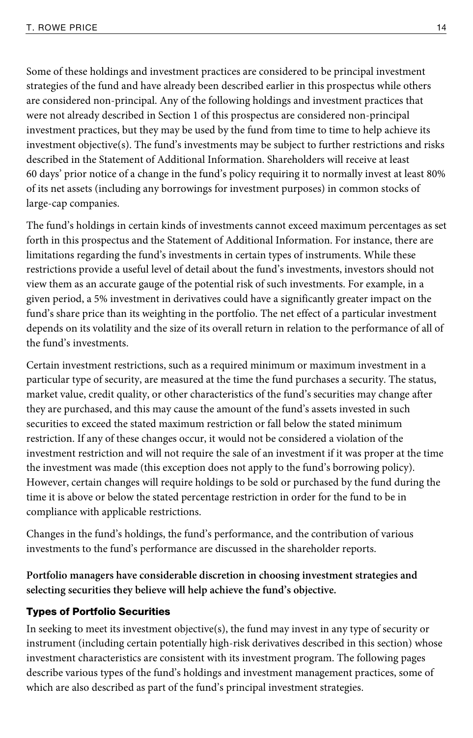Some of these holdings and investment practices are considered to be principal investment strategies of the fund and have already been described earlier in this prospectus while others are considered non-principal. Any of the following holdings and investment practices that were not already described in Section 1 of this prospectus are considered non-principal investment practices, but they may be used by the fund from time to time to help achieve its investment objective(s). The fund's investments may be subject to further restrictions and risks described in the Statement of Additional Information. Shareholders will receive at least 60 days' prior notice of a change in the fund's policy requiring it to normally invest at least 80% of its net assets (including any borrowings for investment purposes) in common stocks of large-cap companies.

The fund's holdings in certain kinds of investments cannot exceed maximum percentages as set forth in this prospectus and the Statement of Additional Information. For instance, there are limitations regarding the fund's investments in certain types of instruments. While these restrictions provide a useful level of detail about the fund's investments, investors should not view them as an accurate gauge of the potential risk of such investments. For example, in a given period, a 5% investment in derivatives could have a significantly greater impact on the fund's share price than its weighting in the portfolio. The net effect of a particular investment depends on its volatility and the size of its overall return in relation to the performance of all of the fund's investments.

Certain investment restrictions, such as a required minimum or maximum investment in a particular type of security, are measured at the time the fund purchases a security. The status, market value, credit quality, or other characteristics of the fund's securities may change after they are purchased, and this may cause the amount of the fund's assets invested in such securities to exceed the stated maximum restriction or fall below the stated minimum restriction. If any of these changes occur, it would not be considered a violation of the investment restriction and will not require the sale of an investment if it was proper at the time the investment was made (this exception does not apply to the fund's borrowing policy). However, certain changes will require holdings to be sold or purchased by the fund during the time it is above or below the stated percentage restriction in order for the fund to be in compliance with applicable restrictions.

Changes in the fund's holdings, the fund's performance, and the contribution of various investments to the fund's performance are discussed in the shareholder reports.

**Portfolio managers have considerable discretion in choosing investment strategies and selecting securities they believe will help achieve the fund's objective.** 

#### Types of Portfolio Securities

In seeking to meet its investment objective(s), the fund may invest in any type of security or instrument (including certain potentially high-risk derivatives described in this section) whose investment characteristics are consistent with its investment program. The following pages describe various types of the fund's holdings and investment management practices, some of which are also described as part of the fund's principal investment strategies.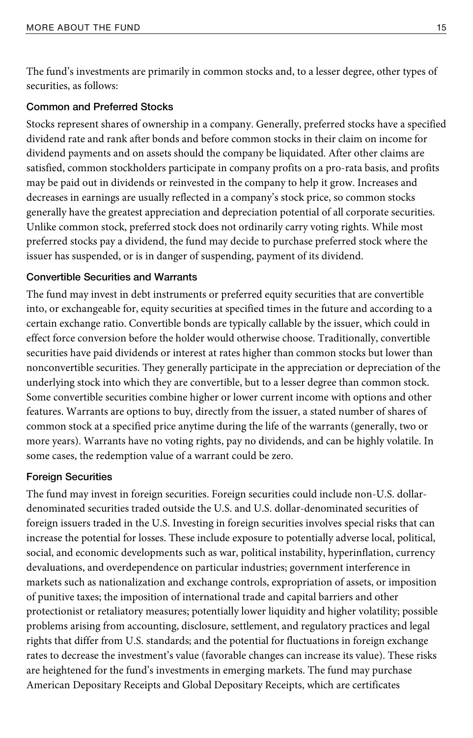The fund's investments are primarily in common stocks and, to a lesser degree, other types of securities, as follows:

#### **Common and Preferred Stocks**

Stocks represent shares of ownership in a company. Generally, preferred stocks have a specified dividend rate and rank after bonds and before common stocks in their claim on income for dividend payments and on assets should the company be liquidated. After other claims are satisfied, common stockholders participate in company profits on a pro-rata basis, and profits may be paid out in dividends or reinvested in the company to help it grow. Increases and decreases in earnings are usually reflected in a company's stock price, so common stocks generally have the greatest appreciation and depreciation potential of all corporate securities. Unlike common stock, preferred stock does not ordinarily carry voting rights. While most preferred stocks pay a dividend, the fund may decide to purchase preferred stock where the issuer has suspended, or is in danger of suspending, payment of its dividend.

### **Convertible Securities and Warrants**

The fund may invest in debt instruments or preferred equity securities that are convertible into, or exchangeable for, equity securities at specified times in the future and according to a certain exchange ratio. Convertible bonds are typically callable by the issuer, which could in effect force conversion before the holder would otherwise choose. Traditionally, convertible securities have paid dividends or interest at rates higher than common stocks but lower than nonconvertible securities. They generally participate in the appreciation or depreciation of the underlying stock into which they are convertible, but to a lesser degree than common stock. Some convertible securities combine higher or lower current income with options and other features. Warrants are options to buy, directly from the issuer, a stated number of shares of common stock at a specified price anytime during the life of the warrants (generally, two or more years). Warrants have no voting rights, pay no dividends, and can be highly volatile. In some cases, the redemption value of a warrant could be zero.

#### **Foreign Securities**

The fund may invest in foreign securities. Foreign securities could include non-U.S. dollardenominated securities traded outside the U.S. and U.S. dollar-denominated securities of foreign issuers traded in the U.S. Investing in foreign securities involves special risks that can increase the potential for losses. These include exposure to potentially adverse local, political, social, and economic developments such as war, political instability, hyperinflation, currency devaluations, and overdependence on particular industries; government interference in markets such as nationalization and exchange controls, expropriation of assets, or imposition of punitive taxes; the imposition of international trade and capital barriers and other protectionist or retaliatory measures; potentially lower liquidity and higher volatility; possible problems arising from accounting, disclosure, settlement, and regulatory practices and legal rights that differ from U.S. standards; and the potential for fluctuations in foreign exchange rates to decrease the investment's value (favorable changes can increase its value). These risks are heightened for the fund's investments in emerging markets. The fund may purchase American Depositary Receipts and Global Depositary Receipts, which are certificates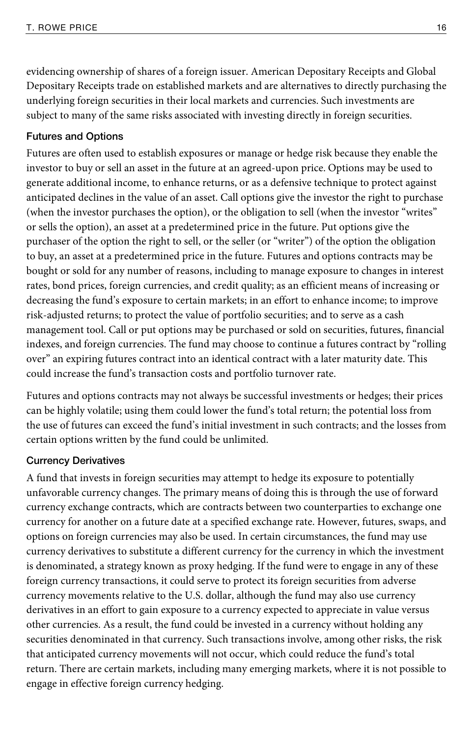evidencing ownership of shares of a foreign issuer. American Depositary Receipts and Global Depositary Receipts trade on established markets and are alternatives to directly purchasing the underlying foreign securities in their local markets and currencies. Such investments are subject to many of the same risks associated with investing directly in foreign securities.

#### **Futures and Options**

Futures are often used to establish exposures or manage or hedge risk because they enable the investor to buy or sell an asset in the future at an agreed-upon price. Options may be used to generate additional income, to enhance returns, or as a defensive technique to protect against anticipated declines in the value of an asset. Call options give the investor the right to purchase (when the investor purchases the option), or the obligation to sell (when the investor "writes" or sells the option), an asset at a predetermined price in the future. Put options give the purchaser of the option the right to sell, or the seller (or "writer") of the option the obligation to buy, an asset at a predetermined price in the future. Futures and options contracts may be bought or sold for any number of reasons, including to manage exposure to changes in interest rates, bond prices, foreign currencies, and credit quality; as an efficient means of increasing or decreasing the fund's exposure to certain markets; in an effort to enhance income; to improve risk-adjusted returns; to protect the value of portfolio securities; and to serve as a cash management tool. Call or put options may be purchased or sold on securities, futures, financial indexes, and foreign currencies. The fund may choose to continue a futures contract by "rolling over" an expiring futures contract into an identical contract with a later maturity date. This could increase the fund's transaction costs and portfolio turnover rate.

Futures and options contracts may not always be successful investments or hedges; their prices can be highly volatile; using them could lower the fund's total return; the potential loss from the use of futures can exceed the fund's initial investment in such contracts; and the losses from certain options written by the fund could be unlimited.

#### **Currency Derivatives**

A fund that invests in foreign securities may attempt to hedge its exposure to potentially unfavorable currency changes. The primary means of doing this is through the use of forward currency exchange contracts, which are contracts between two counterparties to exchange one currency for another on a future date at a specified exchange rate. However, futures, swaps, and options on foreign currencies may also be used. In certain circumstances, the fund may use currency derivatives to substitute a different currency for the currency in which the investment is denominated, a strategy known as proxy hedging. If the fund were to engage in any of these foreign currency transactions, it could serve to protect its foreign securities from adverse currency movements relative to the U.S. dollar, although the fund may also use currency derivatives in an effort to gain exposure to a currency expected to appreciate in value versus other currencies. As a result, the fund could be invested in a currency without holding any securities denominated in that currency. Such transactions involve, among other risks, the risk that anticipated currency movements will not occur, which could reduce the fund's total return. There are certain markets, including many emerging markets, where it is not possible to engage in effective foreign currency hedging.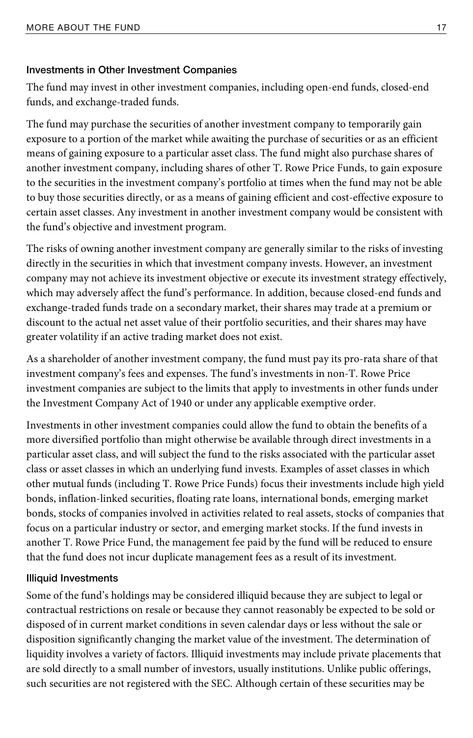#### **Investments in Other Investment Companies**

The fund may invest in other investment companies, including open-end funds, closed-end funds, and exchange-traded funds.

The fund may purchase the securities of another investment company to temporarily gain exposure to a portion of the market while awaiting the purchase of securities or as an efficient means of gaining exposure to a particular asset class. The fund might also purchase shares of another investment company, including shares of other T. Rowe Price Funds, to gain exposure to the securities in the investment company's portfolio at times when the fund may not be able to buy those securities directly, or as a means of gaining efficient and cost-effective exposure to certain asset classes. Any investment in another investment company would be consistent with the fund's objective and investment program.

The risks of owning another investment company are generally similar to the risks of investing directly in the securities in which that investment company invests. However, an investment company may not achieve its investment objective or execute its investment strategy effectively, which may adversely affect the fund's performance. In addition, because closed-end funds and exchange-traded funds trade on a secondary market, their shares may trade at a premium or discount to the actual net asset value of their portfolio securities, and their shares may have greater volatility if an active trading market does not exist.

As a shareholder of another investment company, the fund must pay its pro-rata share of that investment company's fees and expenses. The fund's investments in non-T. Rowe Price investment companies are subject to the limits that apply to investments in other funds under the Investment Company Act of 1940 or under any applicable exemptive order.

Investments in other investment companies could allow the fund to obtain the benefits of a more diversified portfolio than might otherwise be available through direct investments in a particular asset class, and will subject the fund to the risks associated with the particular asset class or asset classes in which an underlying fund invests. Examples of asset classes in which other mutual funds (including T. Rowe Price Funds) focus their investments include high yield bonds, inflation-linked securities, floating rate loans, international bonds, emerging market bonds, stocks of companies involved in activities related to real assets, stocks of companies that focus on a particular industry or sector, and emerging market stocks. If the fund invests in another T. Rowe Price Fund, the management fee paid by the fund will be reduced to ensure that the fund does not incur duplicate management fees as a result of its investment.

#### **Illiquid Investments**

Some of the fund's holdings may be considered illiquid because they are subject to legal or contractual restrictions on resale or because they cannot reasonably be expected to be sold or disposed of in current market conditions in seven calendar days or less without the sale or disposition significantly changing the market value of the investment. The determination of liquidity involves a variety of factors. Illiquid investments may include private placements that are sold directly to a small number of investors, usually institutions. Unlike public offerings, such securities are not registered with the SEC. Although certain of these securities may be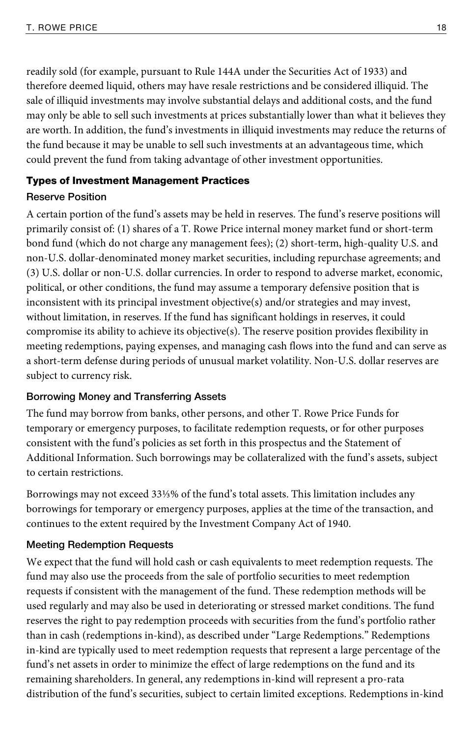readily sold (for example, pursuant to Rule 144A under the Securities Act of 1933) and therefore deemed liquid, others may have resale restrictions and be considered illiquid. The sale of illiquid investments may involve substantial delays and additional costs, and the fund may only be able to sell such investments at prices substantially lower than what it believes they are worth. In addition, the fund's investments in illiquid investments may reduce the returns of the fund because it may be unable to sell such investments at an advantageous time, which could prevent the fund from taking advantage of other investment opportunities.

# Types of Investment Management Practices

### **Reserve Position**

A certain portion of the fund's assets may be held in reserves. The fund's reserve positions will primarily consist of: (1) shares of a T. Rowe Price internal money market fund or short-term bond fund (which do not charge any management fees); (2) short-term, high-quality U.S. and non-U.S. dollar-denominated money market securities, including repurchase agreements; and (3) U.S. dollar or non-U.S. dollar currencies. In order to respond to adverse market, economic, political, or other conditions, the fund may assume a temporary defensive position that is inconsistent with its principal investment objective(s) and/or strategies and may invest, without limitation, in reserves. If the fund has significant holdings in reserves, it could compromise its ability to achieve its objective(s). The reserve position provides flexibility in meeting redemptions, paying expenses, and managing cash flows into the fund and can serve as a short-term defense during periods of unusual market volatility. Non-U.S. dollar reserves are subject to currency risk.

#### **Borrowing Money and Transferring Assets**

The fund may borrow from banks, other persons, and other T. Rowe Price Funds for temporary or emergency purposes, to facilitate redemption requests, or for other purposes consistent with the fund's policies as set forth in this prospectus and the Statement of Additional Information. Such borrowings may be collateralized with the fund's assets, subject to certain restrictions.

Borrowings may not exceed 33⅓% of the fund's total assets. This limitation includes any borrowings for temporary or emergency purposes, applies at the time of the transaction, and continues to the extent required by the Investment Company Act of 1940.

#### **Meeting Redemption Requests**

We expect that the fund will hold cash or cash equivalents to meet redemption requests. The fund may also use the proceeds from the sale of portfolio securities to meet redemption requests if consistent with the management of the fund. These redemption methods will be used regularly and may also be used in deteriorating or stressed market conditions. The fund reserves the right to pay redemption proceeds with securities from the fund's portfolio rather than in cash (redemptions in-kind), as described under "Large Redemptions." Redemptions in-kind are typically used to meet redemption requests that represent a large percentage of the fund's net assets in order to minimize the effect of large redemptions on the fund and its remaining shareholders. In general, any redemptions in-kind will represent a pro-rata distribution of the fund's securities, subject to certain limited exceptions. Redemptions in-kind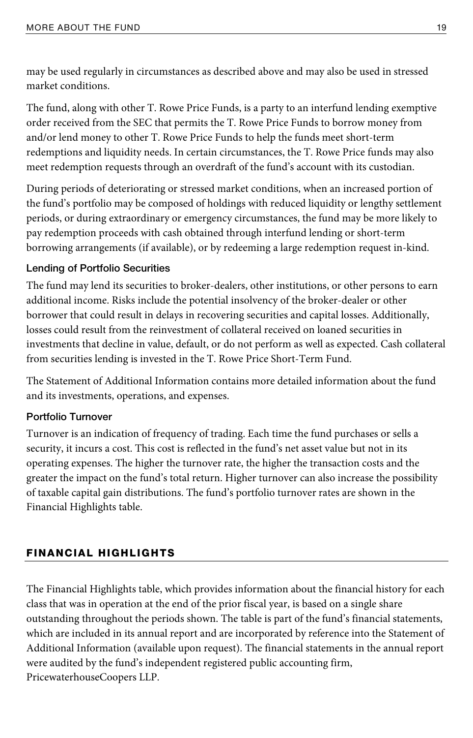may be used regularly in circumstances as described above and may also be used in stressed market conditions.

The fund, along with other T. Rowe Price Funds, is a party to an interfund lending exemptive order received from the SEC that permits the T. Rowe Price Funds to borrow money from and/or lend money to other T. Rowe Price Funds to help the funds meet short-term redemptions and liquidity needs. In certain circumstances, the T. Rowe Price funds may also meet redemption requests through an overdraft of the fund's account with its custodian.

During periods of deteriorating or stressed market conditions, when an increased portion of the fund's portfolio may be composed of holdings with reduced liquidity or lengthy settlement periods, or during extraordinary or emergency circumstances, the fund may be more likely to pay redemption proceeds with cash obtained through interfund lending or short-term borrowing arrangements (if available), or by redeeming a large redemption request in-kind.

#### **Lending of Portfolio Securities**

The fund may lend its securities to broker-dealers, other institutions, or other persons to earn additional income. Risks include the potential insolvency of the broker-dealer or other borrower that could result in delays in recovering securities and capital losses. Additionally, losses could result from the reinvestment of collateral received on loaned securities in investments that decline in value, default, or do not perform as well as expected. Cash collateral from securities lending is invested in the T. Rowe Price Short-Term Fund.

The Statement of Additional Information contains more detailed information about the fund and its investments, operations, and expenses.

# **Portfolio Turnover**

Turnover is an indication of frequency of trading. Each time the fund purchases or sells a security, it incurs a cost. This cost is reflected in the fund's net asset value but not in its operating expenses. The higher the turnover rate, the higher the transaction costs and the greater the impact on the fund's total return. Higher turnover can also increase the possibility of taxable capital gain distributions. The fund's portfolio turnover rates are shown in the Financial Highlights table.

# FINANCIAL HIGHLIGHTS

The Financial Highlights table, which provides information about the financial history for each class that was in operation at the end of the prior fiscal year, is based on a single share outstanding throughout the periods shown. The table is part of the fund's financial statements, which are included in its annual report and are incorporated by reference into the Statement of Additional Information (available upon request). The financial statements in the annual report were audited by the fund's independent registered public accounting firm, PricewaterhouseCoopers LLP.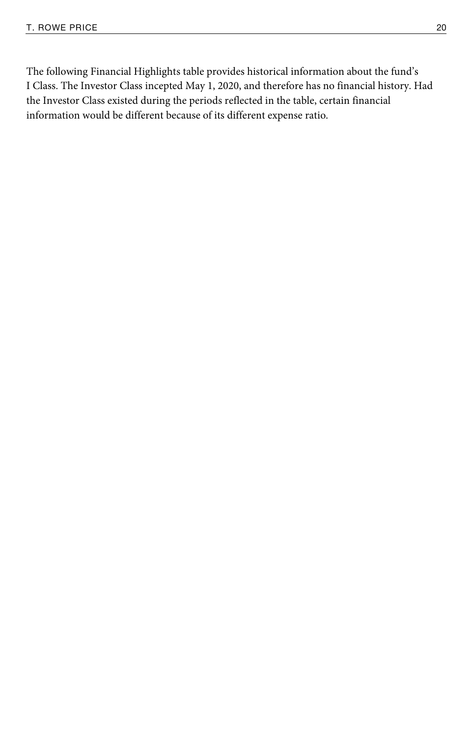The following Financial Highlights table provides historical information about the fund's I Class. The Investor Class incepted May 1, 2020, and therefore has no financial history. Had the Investor Class existed during the periods reflected in the table, certain financial information would be different because of its different expense ratio.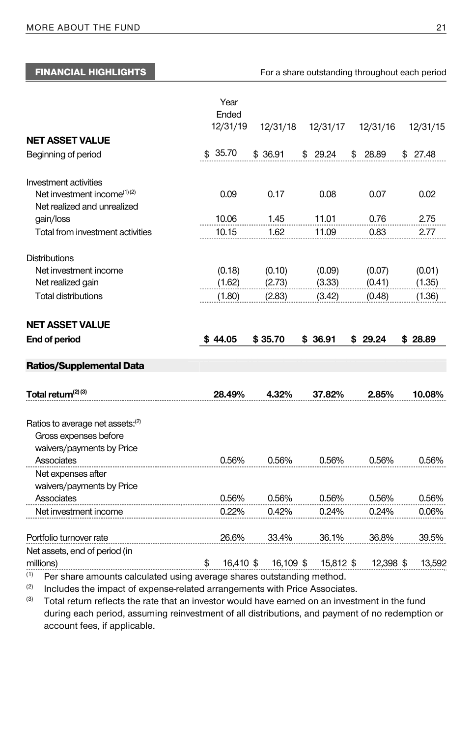FINANCIAL HIGHLIGHTS For a share outstanding throughout each period

|                                                                                                    | Year<br>Ended   |           |           |             |          |
|----------------------------------------------------------------------------------------------------|-----------------|-----------|-----------|-------------|----------|
|                                                                                                    | 12/31/19        | 12/31/18  | 12/31/17  | 12/31/16    | 12/31/15 |
| <b>NET ASSET VALUE</b>                                                                             |                 |           |           |             |          |
| Beginning of period                                                                                | \$35.70         | \$36.91   | \$29.24   | \$<br>28.89 | \$27.48  |
| Investment activities                                                                              |                 |           |           |             |          |
| Net investment income <sup>(1)(2)</sup><br>Net realized and unrealized                             | 0.09            | 0.17      | 0.08      | 0.07        | 0.02     |
| gain/loss                                                                                          | 10.06           | 1.45      | 11.01     | 0.76        | 2.75     |
| Total from investment activities                                                                   | 10.15           | 1.62      | 11.09     | 0.83        | 2.77     |
| <b>Distributions</b>                                                                               |                 |           |           |             |          |
| Net investment income                                                                              | (0.18)          | (0.10)    | (0.09)    | (0.07)      | (0.01)   |
| Net realized gain                                                                                  | (1.62)          | (2.73)    | (3.33)    | (0.41)      | (1.35)   |
| <b>Total distributions</b>                                                                         | (1.80)          | (2.83)    | (3.42)    | (0.48)      | (1.36)   |
| <b>NET ASSET VALUE</b>                                                                             |                 |           |           |             |          |
| End of period                                                                                      | \$44.05         | \$35.70   | \$36.91   | \$29.24     | \$28.89  |
| <b>Ratios/Supplemental Data</b>                                                                    |                 |           |           |             |          |
| Total return <sup>(2)(3)</sup>                                                                     | 28.49%          | 4.32%     |           |             |          |
|                                                                                                    |                 |           | 37.82%    | 2.85%       | 10.08%   |
| Ratios to average net assets: <sup>(2)</sup><br>Gross expenses before<br>waivers/payments by Price |                 |           |           |             |          |
| Associates                                                                                         | 0.56%           | 0.56%     | 0.56%     | 0.56%       | 0.56%    |
| Net expenses after<br>waivers/payments by Price                                                    |                 |           |           |             |          |
| Associates                                                                                         | 0.56%           | 0.56%     | 0.56%     | 0.56%       | 0.56%    |
| Net investment income                                                                              | 0.22%           | 0.42%     | 0.24%     | 0.24%       | 0.06%    |
| Portfolio turnover rate                                                                            | 26.6%           | 33.4%     | 36.1%     | 36.8%       | 39.5%    |
| Net assets, end of period (in<br>millions)                                                         | 16,410 \$<br>\$ | 16,109 \$ | 15,812 \$ | 12,398 \$   | 13,592   |
|                                                                                                    |                 |           |           |             |          |

 $^{(1)}$  Per share amounts calculated using average shares outstanding method.<br><sup>(2)</sup> Includes the impact of expense-related arrangements with Price Associates.<br><sup>(3)</sup> Total return reflects the rate that an investor would hav during each period, assuming reinvestment of all distributions, and payment of no redemption or account fees, if applicable.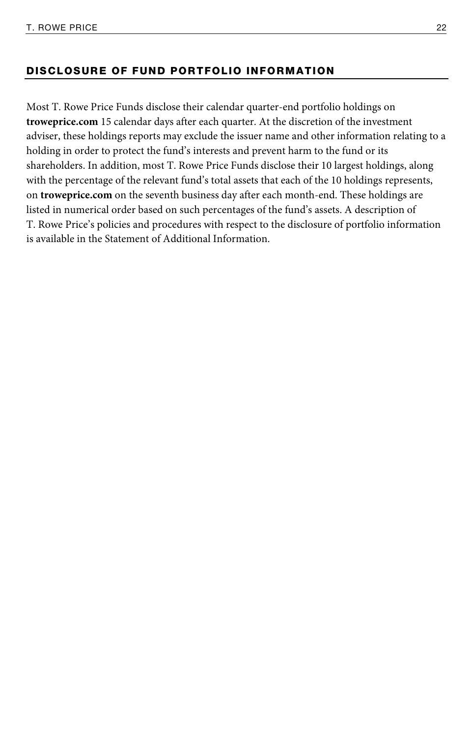#### DISCLOSURE OF FUND PORTFOLIO INFORMATION

Most T. Rowe Price Funds disclose their calendar quarter-end portfolio holdings on **troweprice.com** 15 calendar days after each quarter. At the discretion of the investment adviser, these holdings reports may exclude the issuer name and other information relating to a holding in order to protect the fund's interests and prevent harm to the fund or its shareholders. In addition, most T. Rowe Price Funds disclose their 10 largest holdings, along with the percentage of the relevant fund's total assets that each of the 10 holdings represents, on **troweprice.com** on the seventh business day after each month-end. These holdings are listed in numerical order based on such percentages of the fund's assets. A description of T. Rowe Price's policies and procedures with respect to the disclosure of portfolio information is available in the Statement of Additional Information.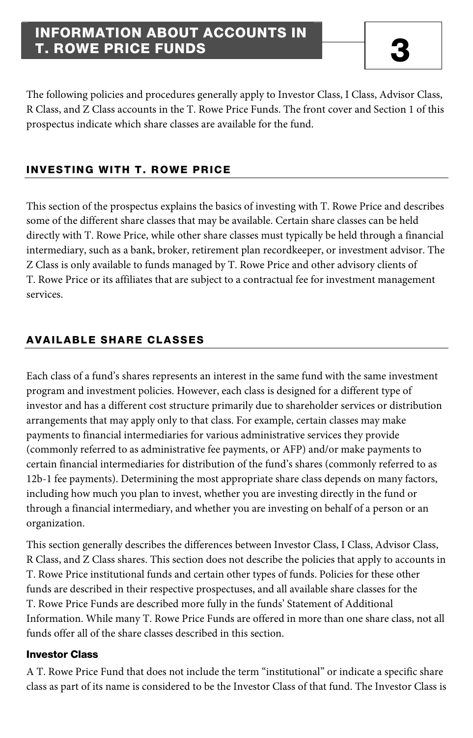# INFORMATION ABOUT ACCOUNTS IN **T. ROWE PRICE FUNDS**

The following policies and procedures generally apply to Investor Class, I Class, Advisor Class, R Class, and Z Class accounts in the T. Rowe Price Funds. The front cover and Section 1 of this prospectus indicate which share classes are available for the fund.

# INVESTING WITH T. ROWE PRICE

This section of the prospectus explains the basics of investing with T. Rowe Price and describes some of the different share classes that may be available. Certain share classes can be held directly with T. Rowe Price, while other share classes must typically be held through a financial intermediary, such as a bank, broker, retirement plan recordkeeper, or investment advisor. The Z Class is only available to funds managed by T. Rowe Price and other advisory clients of T. Rowe Price or its affiliates that are subject to a contractual fee for investment management services.

### AVAILABLE SHARE CLASSES

Each class of a fund's shares represents an interest in the same fund with the same investment program and investment policies. However, each class is designed for a different type of investor and has a different cost structure primarily due to shareholder services or distribution arrangements that may apply only to that class. For example, certain classes may make payments to financial intermediaries for various administrative services they provide (commonly referred to as administrative fee payments, or AFP) and/or make payments to certain financial intermediaries for distribution of the fund's shares (commonly referred to as 12b-1 fee payments). Determining the most appropriate share class depends on many factors, including how much you plan to invest, whether you are investing directly in the fund or through a financial intermediary, and whether you are investing on behalf of a person or an organization.

This section generally describes the differences between Investor Class, I Class, Advisor Class, R Class, and Z Class shares. This section does not describe the policies that apply to accounts in T. Rowe Price institutional funds and certain other types of funds. Policies for these other funds are described in their respective prospectuses, and all available share classes for the T. Rowe Price Funds are described more fully in the funds' Statement of Additional Information. While many T. Rowe Price Funds are offered in more than one share class, not all funds offer all of the share classes described in this section.

#### Investor Class

A T. Rowe Price Fund that does not include the term "institutional" or indicate a specific share class as part of its name is considered to be the Investor Class of that fund. The Investor Class is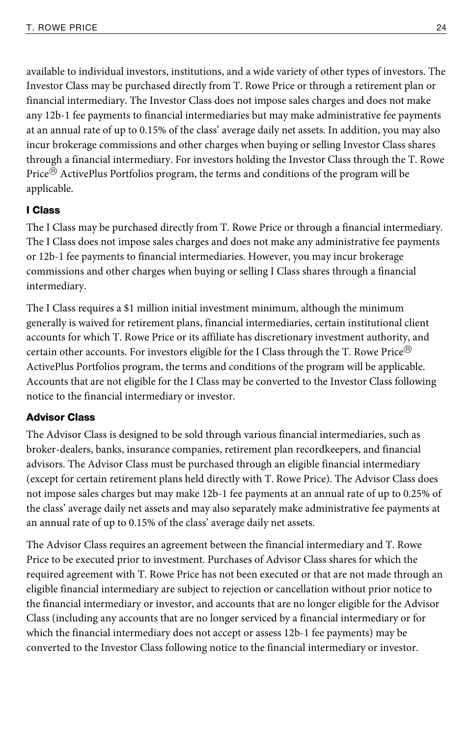available to individual investors, institutions, and a wide variety of other types of investors. The Investor Class may be purchased directly from T. Rowe Price or through a retirement plan or financial intermediary. The Investor Class does not impose sales charges and does not make any 12b-1 fee payments to financial intermediaries but may make administrative fee payments at an annual rate of up to 0.15% of the class' average daily net assets. In addition, you may also incur brokerage commissions and other charges when buying or selling Investor Class shares through a financial intermediary. For investors holding the Investor Class through the T. Rowe Price<sup>®</sup> ActivePlus Portfolios program, the terms and conditions of the program will be applicable.

#### I Class

The I Class may be purchased directly from T. Rowe Price or through a financial intermediary. The I Class does not impose sales charges and does not make any administrative fee payments or 12b-1 fee payments to financial intermediaries. However, you may incur brokerage commissions and other charges when buying or selling I Class shares through a financial intermediary.

The I Class requires a \$1 million initial investment minimum, although the minimum generally is waived for retirement plans, financial intermediaries, certain institutional client accounts for which T. Rowe Price or its affiliate has discretionary investment authority, and certain other accounts. For investors eligible for the I Class through the T. Rowe Price<sup>®</sup> ActivePlus Portfolios program, the terms and conditions of the program will be applicable. Accounts that are not eligible for the I Class may be converted to the Investor Class following notice to the financial intermediary or investor.

#### Advisor Class

The Advisor Class is designed to be sold through various financial intermediaries, such as broker-dealers, banks, insurance companies, retirement plan recordkeepers, and financial advisors. The Advisor Class must be purchased through an eligible financial intermediary (except for certain retirement plans held directly with T. Rowe Price). The Advisor Class does not impose sales charges but may make 12b-1 fee payments at an annual rate of up to 0.25% of the class' average daily net assets and may also separately make administrative fee payments at an annual rate of up to 0.15% of the class' average daily net assets.

The Advisor Class requires an agreement between the financial intermediary and T. Rowe Price to be executed prior to investment. Purchases of Advisor Class shares for which the required agreement with T. Rowe Price has not been executed or that are not made through an eligible financial intermediary are subject to rejection or cancellation without prior notice to the financial intermediary or investor, and accounts that are no longer eligible for the Advisor Class (including any accounts that are no longer serviced by a financial intermediary or for which the financial intermediary does not accept or assess 12b-1 fee payments) may be converted to the Investor Class following notice to the financial intermediary or investor.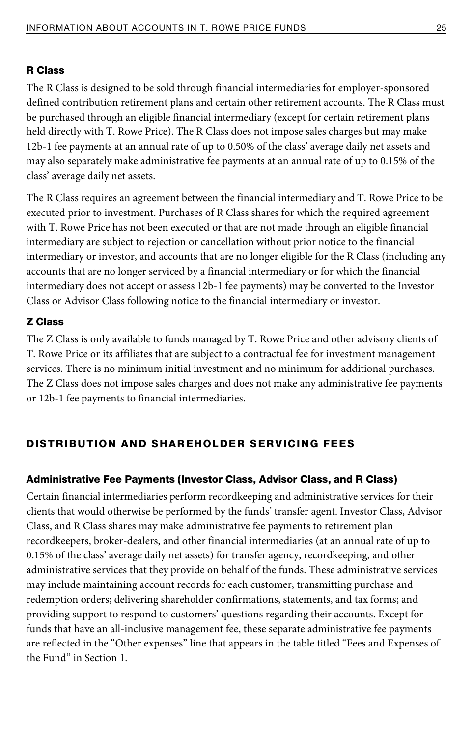#### R Class

The R Class is designed to be sold through financial intermediaries for employer-sponsored defined contribution retirement plans and certain other retirement accounts. The R Class must be purchased through an eligible financial intermediary (except for certain retirement plans held directly with T. Rowe Price). The R Class does not impose sales charges but may make 12b-1 fee payments at an annual rate of up to 0.50% of the class' average daily net assets and may also separately make administrative fee payments at an annual rate of up to 0.15% of the class' average daily net assets.

The R Class requires an agreement between the financial intermediary and T. Rowe Price to be executed prior to investment. Purchases of R Class shares for which the required agreement with T. Rowe Price has not been executed or that are not made through an eligible financial intermediary are subject to rejection or cancellation without prior notice to the financial intermediary or investor, and accounts that are no longer eligible for the R Class (including any accounts that are no longer serviced by a financial intermediary or for which the financial intermediary does not accept or assess 12b-1 fee payments) may be converted to the Investor Class or Advisor Class following notice to the financial intermediary or investor.

#### Z Class

The Z Class is only available to funds managed by T. Rowe Price and other advisory clients of T. Rowe Price or its affiliates that are subject to a contractual fee for investment management services. There is no minimum initial investment and no minimum for additional purchases. The Z Class does not impose sales charges and does not make any administrative fee payments or 12b-1 fee payments to financial intermediaries.

#### DISTRIBUTION AND SHAREHOLDER SERVICING FEES

#### Administrative Fee Payments (Investor Class, Advisor Class, and R Class)

Certain financial intermediaries perform recordkeeping and administrative services for their clients that would otherwise be performed by the funds' transfer agent. Investor Class, Advisor Class, and R Class shares may make administrative fee payments to retirement plan recordkeepers, broker-dealers, and other financial intermediaries (at an annual rate of up to 0.15% of the class' average daily net assets) for transfer agency, recordkeeping, and other administrative services that they provide on behalf of the funds. These administrative services may include maintaining account records for each customer; transmitting purchase and redemption orders; delivering shareholder confirmations, statements, and tax forms; and providing support to respond to customers' questions regarding their accounts. Except for funds that have an all-inclusive management fee, these separate administrative fee payments are reflected in the "Other expenses" line that appears in the table titled "Fees and Expenses of the Fund" in Section 1.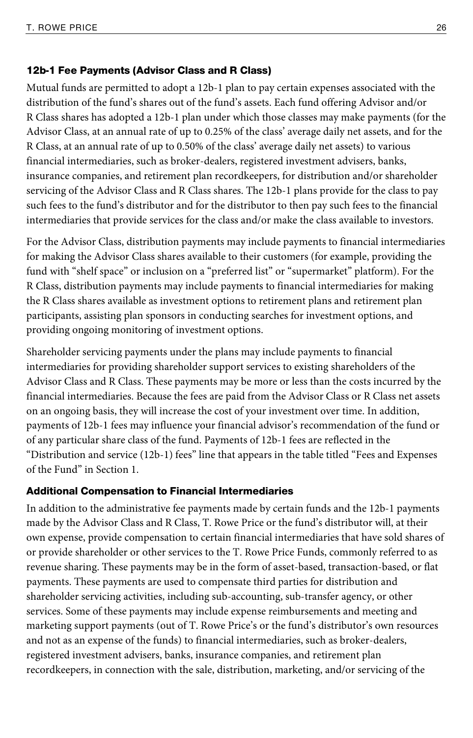#### 12b-1 Fee Payments (Advisor Class and R Class)

Mutual funds are permitted to adopt a 12b-1 plan to pay certain expenses associated with the distribution of the fund's shares out of the fund's assets. Each fund offering Advisor and/or R Class shares has adopted a 12b-1 plan under which those classes may make payments (for the Advisor Class, at an annual rate of up to 0.25% of the class' average daily net assets, and for the R Class, at an annual rate of up to 0.50% of the class' average daily net assets) to various financial intermediaries, such as broker-dealers, registered investment advisers, banks, insurance companies, and retirement plan recordkeepers, for distribution and/or shareholder servicing of the Advisor Class and R Class shares. The 12b-1 plans provide for the class to pay such fees to the fund's distributor and for the distributor to then pay such fees to the financial intermediaries that provide services for the class and/or make the class available to investors.

For the Advisor Class, distribution payments may include payments to financial intermediaries for making the Advisor Class shares available to their customers (for example, providing the fund with "shelf space" or inclusion on a "preferred list" or "supermarket" platform). For the R Class, distribution payments may include payments to financial intermediaries for making the R Class shares available as investment options to retirement plans and retirement plan participants, assisting plan sponsors in conducting searches for investment options, and providing ongoing monitoring of investment options.

Shareholder servicing payments under the plans may include payments to financial intermediaries for providing shareholder support services to existing shareholders of the Advisor Class and R Class. These payments may be more or less than the costs incurred by the financial intermediaries. Because the fees are paid from the Advisor Class or R Class net assets on an ongoing basis, they will increase the cost of your investment over time. In addition, payments of 12b-1 fees may influence your financial advisor's recommendation of the fund or of any particular share class of the fund. Payments of 12b-1 fees are reflected in the "Distribution and service (12b-1) fees" line that appears in the table titled "Fees and Expenses of the Fund" in Section 1.

#### Additional Compensation to Financial Intermediaries

In addition to the administrative fee payments made by certain funds and the 12b-1 payments made by the Advisor Class and R Class, T. Rowe Price or the fund's distributor will, at their own expense, provide compensation to certain financial intermediaries that have sold shares of or provide shareholder or other services to the T. Rowe Price Funds, commonly referred to as revenue sharing. These payments may be in the form of asset-based, transaction-based, or flat payments. These payments are used to compensate third parties for distribution and shareholder servicing activities, including sub-accounting, sub-transfer agency, or other services. Some of these payments may include expense reimbursements and meeting and marketing support payments (out of T. Rowe Price's or the fund's distributor's own resources and not as an expense of the funds) to financial intermediaries, such as broker-dealers, registered investment advisers, banks, insurance companies, and retirement plan recordkeepers, in connection with the sale, distribution, marketing, and/or servicing of the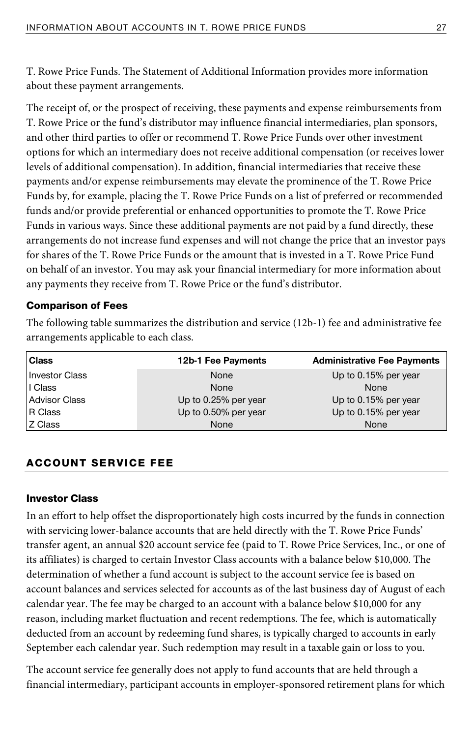T. Rowe Price Funds. The Statement of Additional Information provides more information about these payment arrangements.

The receipt of, or the prospect of receiving, these payments and expense reimbursements from T. Rowe Price or the fund's distributor may influence financial intermediaries, plan sponsors, and other third parties to offer or recommend T. Rowe Price Funds over other investment options for which an intermediary does not receive additional compensation (or receives lower levels of additional compensation). In addition, financial intermediaries that receive these payments and/or expense reimbursements may elevate the prominence of the T. Rowe Price Funds by, for example, placing the T. Rowe Price Funds on a list of preferred or recommended funds and/or provide preferential or enhanced opportunities to promote the T. Rowe Price Funds in various ways. Since these additional payments are not paid by a fund directly, these arrangements do not increase fund expenses and will not change the price that an investor pays for shares of the T. Rowe Price Funds or the amount that is invested in a T. Rowe Price Fund on behalf of an investor. You may ask your financial intermediary for more information about any payments they receive from T. Rowe Price or the fund's distributor.

### Comparison of Fees

The following table summarizes the distribution and service (12b-1) fee and administrative fee arrangements applicable to each class.

| <b>Class</b>          | 12b-1 Fee Payments   | <b>Administrative Fee Payments</b> |
|-----------------------|----------------------|------------------------------------|
| <b>Investor Class</b> | None                 | Up to 0.15% per year               |
| I Class               | None                 | None                               |
| <b>Advisor Class</b>  | Up to 0.25% per year | Up to 0.15% per year               |
| R Class               | Up to 0.50% per year | Up to 0.15% per year               |
| Z Class               | None                 | None                               |

# ACCOUNT SERVICE FEE

#### Investor Class

In an effort to help offset the disproportionately high costs incurred by the funds in connection with servicing lower-balance accounts that are held directly with the T. Rowe Price Funds' transfer agent, an annual \$20 account service fee (paid to T. Rowe Price Services, Inc., or one of its affiliates) is charged to certain Investor Class accounts with a balance below \$10,000. The determination of whether a fund account is subject to the account service fee is based on account balances and services selected for accounts as of the last business day of August of each calendar year. The fee may be charged to an account with a balance below \$10,000 for any reason, including market fluctuation and recent redemptions. The fee, which is automatically deducted from an account by redeeming fund shares, is typically charged to accounts in early September each calendar year. Such redemption may result in a taxable gain or loss to you.

The account service fee generally does not apply to fund accounts that are held through a financial intermediary, participant accounts in employer-sponsored retirement plans for which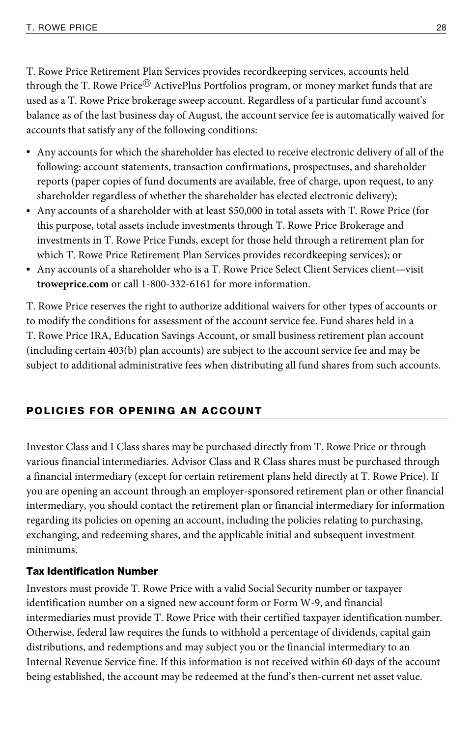T. Rowe Price Retirement Plan Services provides recordkeeping services, accounts held through the T. Rowe Price $^{\circledR}$  ActivePlus Portfolios program, or money market funds that are used as a T. Rowe Price brokerage sweep account. Regardless of a particular fund account's balance as of the last business day of August, the account service fee is automatically waived for accounts that satisfy any of the following conditions:

- Any accounts for which the shareholder has elected to receive electronic delivery of all of the following: account statements, transaction confirmations, prospectuses, and shareholder reports (paper copies of fund documents are available, free of charge, upon request, to any shareholder regardless of whether the shareholder has elected electronic delivery);
- Any accounts of a shareholder with at least \$50,000 in total assets with T. Rowe Price (for this purpose, total assets include investments through T. Rowe Price Brokerage and investments in T. Rowe Price Funds, except for those held through a retirement plan for which T. Rowe Price Retirement Plan Services provides recordkeeping services); or
- Any accounts of a shareholder who is a T. Rowe Price Select Client Services client—visit **troweprice.com** or call 1-800-332-6161 for more information.

T. Rowe Price reserves the right to authorize additional waivers for other types of accounts or to modify the conditions for assessment of the account service fee. Fund shares held in a T. Rowe Price IRA, Education Savings Account, or small business retirement plan account (including certain 403(b) plan accounts) are subject to the account service fee and may be subject to additional administrative fees when distributing all fund shares from such accounts.

# POLICIES FOR OPENING AN ACCOUNT

Investor Class and I Class shares may be purchased directly from T. Rowe Price or through various financial intermediaries. Advisor Class and R Class shares must be purchased through a financial intermediary (except for certain retirement plans held directly at T. Rowe Price). If you are opening an account through an employer-sponsored retirement plan or other financial intermediary, you should contact the retirement plan or financial intermediary for information regarding its policies on opening an account, including the policies relating to purchasing, exchanging, and redeeming shares, and the applicable initial and subsequent investment minimums.

#### Tax Identification Number

Investors must provide T. Rowe Price with a valid Social Security number or taxpayer identification number on a signed new account form or Form W-9, and financial intermediaries must provide T. Rowe Price with their certified taxpayer identification number. Otherwise, federal law requires the funds to withhold a percentage of dividends, capital gain distributions, and redemptions and may subject you or the financial intermediary to an Internal Revenue Service fine. If this information is not received within 60 days of the account being established, the account may be redeemed at the fund's then-current net asset value.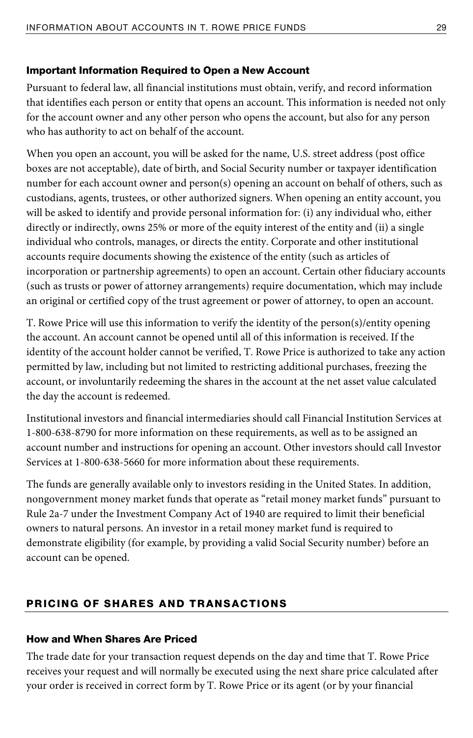### Important Information Required to Open a New Account

Pursuant to federal law, all financial institutions must obtain, verify, and record information that identifies each person or entity that opens an account. This information is needed not only for the account owner and any other person who opens the account, but also for any person who has authority to act on behalf of the account.

When you open an account, you will be asked for the name, U.S. street address (post office boxes are not acceptable), date of birth, and Social Security number or taxpayer identification number for each account owner and person(s) opening an account on behalf of others, such as custodians, agents, trustees, or other authorized signers. When opening an entity account, you will be asked to identify and provide personal information for: (i) any individual who, either directly or indirectly, owns 25% or more of the equity interest of the entity and (ii) a single individual who controls, manages, or directs the entity. Corporate and other institutional accounts require documents showing the existence of the entity (such as articles of incorporation or partnership agreements) to open an account. Certain other fiduciary accounts (such as trusts or power of attorney arrangements) require documentation, which may include an original or certified copy of the trust agreement or power of attorney, to open an account.

T. Rowe Price will use this information to verify the identity of the person(s)/entity opening the account. An account cannot be opened until all of this information is received. If the identity of the account holder cannot be verified, T. Rowe Price is authorized to take any action permitted by law, including but not limited to restricting additional purchases, freezing the account, or involuntarily redeeming the shares in the account at the net asset value calculated the day the account is redeemed.

Institutional investors and financial intermediaries should call Financial Institution Services at 1-800-638-8790 for more information on these requirements, as well as to be assigned an account number and instructions for opening an account. Other investors should call Investor Services at 1-800-638-5660 for more information about these requirements.

The funds are generally available only to investors residing in the United States. In addition, nongovernment money market funds that operate as "retail money market funds" pursuant to Rule 2a-7 under the Investment Company Act of 1940 are required to limit their beneficial owners to natural persons. An investor in a retail money market fund is required to demonstrate eligibility (for example, by providing a valid Social Security number) before an account can be opened.

# PRICING OF SHARES AND TRANSACTIONS

#### How and When Shares Are Priced

The trade date for your transaction request depends on the day and time that T. Rowe Price receives your request and will normally be executed using the next share price calculated after your order is received in correct form by T. Rowe Price or its agent (or by your financial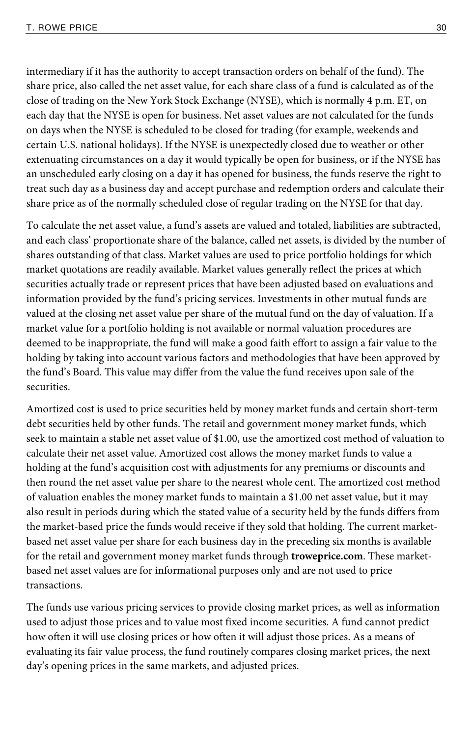intermediary if it has the authority to accept transaction orders on behalf of the fund). The share price, also called the net asset value, for each share class of a fund is calculated as of the close of trading on the New York Stock Exchange (NYSE), which is normally 4 p.m. ET, on each day that the NYSE is open for business. Net asset values are not calculated for the funds on days when the NYSE is scheduled to be closed for trading (for example, weekends and certain U.S. national holidays). If the NYSE is unexpectedly closed due to weather or other extenuating circumstances on a day it would typically be open for business, or if the NYSE has an unscheduled early closing on a day it has opened for business, the funds reserve the right to treat such day as a business day and accept purchase and redemption orders and calculate their share price as of the normally scheduled close of regular trading on the NYSE for that day.

To calculate the net asset value, a fund's assets are valued and totaled, liabilities are subtracted, and each class' proportionate share of the balance, called net assets, is divided by the number of shares outstanding of that class. Market values are used to price portfolio holdings for which market quotations are readily available. Market values generally reflect the prices at which securities actually trade or represent prices that have been adjusted based on evaluations and information provided by the fund's pricing services. Investments in other mutual funds are valued at the closing net asset value per share of the mutual fund on the day of valuation. If a market value for a portfolio holding is not available or normal valuation procedures are deemed to be inappropriate, the fund will make a good faith effort to assign a fair value to the holding by taking into account various factors and methodologies that have been approved by the fund's Board. This value may differ from the value the fund receives upon sale of the securities.

Amortized cost is used to price securities held by money market funds and certain short-term debt securities held by other funds. The retail and government money market funds, which seek to maintain a stable net asset value of \$1.00, use the amortized cost method of valuation to calculate their net asset value. Amortized cost allows the money market funds to value a holding at the fund's acquisition cost with adjustments for any premiums or discounts and then round the net asset value per share to the nearest whole cent. The amortized cost method of valuation enables the money market funds to maintain a \$1.00 net asset value, but it may also result in periods during which the stated value of a security held by the funds differs from the market-based price the funds would receive if they sold that holding. The current marketbased net asset value per share for each business day in the preceding six months is available for the retail and government money market funds through **troweprice.com**. These marketbased net asset values are for informational purposes only and are not used to price transactions.

The funds use various pricing services to provide closing market prices, as well as information used to adjust those prices and to value most fixed income securities. A fund cannot predict how often it will use closing prices or how often it will adjust those prices. As a means of evaluating its fair value process, the fund routinely compares closing market prices, the next day's opening prices in the same markets, and adjusted prices.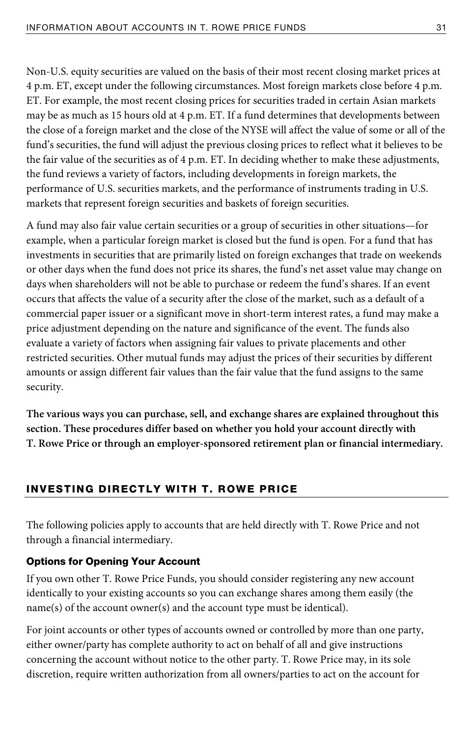Non-U.S. equity securities are valued on the basis of their most recent closing market prices at 4 p.m. ET, except under the following circumstances. Most foreign markets close before 4 p.m. ET. For example, the most recent closing prices for securities traded in certain Asian markets may be as much as 15 hours old at 4 p.m. ET. If a fund determines that developments between the close of a foreign market and the close of the NYSE will affect the value of some or all of the fund's securities, the fund will adjust the previous closing prices to reflect what it believes to be the fair value of the securities as of 4 p.m. ET. In deciding whether to make these adjustments, the fund reviews a variety of factors, including developments in foreign markets, the performance of U.S. securities markets, and the performance of instruments trading in U.S. markets that represent foreign securities and baskets of foreign securities.

A fund may also fair value certain securities or a group of securities in other situations—for example, when a particular foreign market is closed but the fund is open. For a fund that has investments in securities that are primarily listed on foreign exchanges that trade on weekends or other days when the fund does not price its shares, the fund's net asset value may change on days when shareholders will not be able to purchase or redeem the fund's shares. If an event occurs that affects the value of a security after the close of the market, such as a default of a commercial paper issuer or a significant move in short-term interest rates, a fund may make a price adjustment depending on the nature and significance of the event. The funds also evaluate a variety of factors when assigning fair values to private placements and other restricted securities. Other mutual funds may adjust the prices of their securities by different amounts or assign different fair values than the fair value that the fund assigns to the same security.

**The various ways you can purchase, sell, and exchange shares are explained throughout this section. These procedures differ based on whether you hold your account directly with T. Rowe Price or through an employer-sponsored retirement plan or financial intermediary.** 

# INVESTING DIRECTLY WITH T. ROWE PRICE

The following policies apply to accounts that are held directly with T. Rowe Price and not through a financial intermediary.

#### Options for Opening Your Account

If you own other T. Rowe Price Funds, you should consider registering any new account identically to your existing accounts so you can exchange shares among them easily (the name(s) of the account owner(s) and the account type must be identical).

For joint accounts or other types of accounts owned or controlled by more than one party, either owner/party has complete authority to act on behalf of all and give instructions concerning the account without notice to the other party. T. Rowe Price may, in its sole discretion, require written authorization from all owners/parties to act on the account for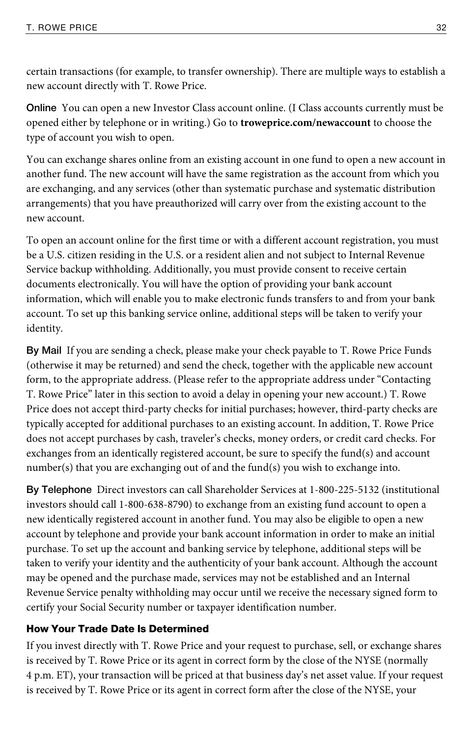certain transactions (for example, to transfer ownership). There are multiple ways to establish a new account directly with T. Rowe Price.

**Online** You can open a new Investor Class account online. (I Class accounts currently must be opened either by telephone or in writing.) Go to **troweprice.com/newaccount** to choose the type of account you wish to open.

You can exchange shares online from an existing account in one fund to open a new account in another fund. The new account will have the same registration as the account from which you are exchanging, and any services (other than systematic purchase and systematic distribution arrangements) that you have preauthorized will carry over from the existing account to the new account.

To open an account online for the first time or with a different account registration, you must be a U.S. citizen residing in the U.S. or a resident alien and not subject to Internal Revenue Service backup withholding. Additionally, you must provide consent to receive certain documents electronically. You will have the option of providing your bank account information, which will enable you to make electronic funds transfers to and from your bank account. To set up this banking service online, additional steps will be taken to verify your identity.

**By Mail** If you are sending a check, please make your check payable to T. Rowe Price Funds (otherwise it may be returned) and send the check, together with the applicable new account form, to the appropriate address. (Please refer to the appropriate address under "Contacting T. Rowe Price" later in this section to avoid a delay in opening your new account.) T. Rowe Price does not accept third-party checks for initial purchases; however, third-party checks are typically accepted for additional purchases to an existing account. In addition, T. Rowe Price does not accept purchases by cash, traveler's checks, money orders, or credit card checks. For exchanges from an identically registered account, be sure to specify the fund(s) and account number(s) that you are exchanging out of and the fund(s) you wish to exchange into.

**By Telephone** Direct investors can call Shareholder Services at 1-800-225-5132 (institutional investors should call 1-800-638-8790) to exchange from an existing fund account to open a new identically registered account in another fund. You may also be eligible to open a new account by telephone and provide your bank account information in order to make an initial purchase. To set up the account and banking service by telephone, additional steps will be taken to verify your identity and the authenticity of your bank account. Although the account may be opened and the purchase made, services may not be established and an Internal Revenue Service penalty withholding may occur until we receive the necessary signed form to certify your Social Security number or taxpayer identification number.

# How Your Trade Date Is Determined

If you invest directly with T. Rowe Price and your request to purchase, sell, or exchange shares is received by T. Rowe Price or its agent in correct form by the close of the NYSE (normally 4 p.m. ET), your transaction will be priced at that business day's net asset value. If your request is received by T. Rowe Price or its agent in correct form after the close of the NYSE, your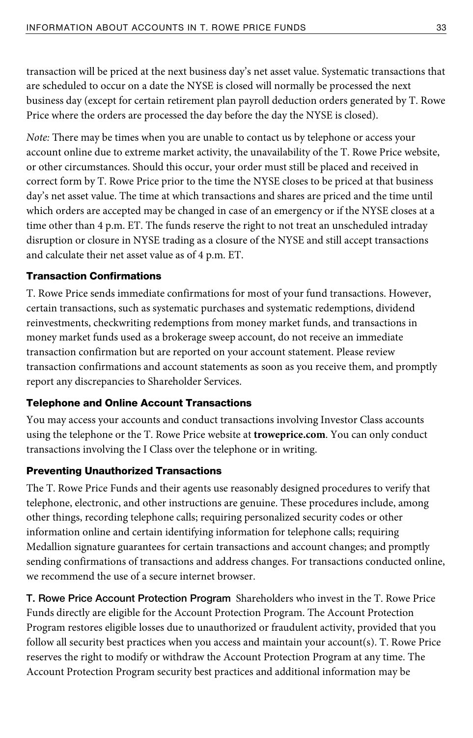transaction will be priced at the next business day's net asset value. Systematic transactions that are scheduled to occur on a date the NYSE is closed will normally be processed the next business day (except for certain retirement plan payroll deduction orders generated by T. Rowe Price where the orders are processed the day before the day the NYSE is closed).

Note: There may be times when you are unable to contact us by telephone or access your account online due to extreme market activity, the unavailability of the T. Rowe Price website, or other circumstances. Should this occur, your order must still be placed and received in correct form by T. Rowe Price prior to the time the NYSE closes to be priced at that business day's net asset value. The time at which transactions and shares are priced and the time until which orders are accepted may be changed in case of an emergency or if the NYSE closes at a time other than 4 p.m. ET. The funds reserve the right to not treat an unscheduled intraday disruption or closure in NYSE trading as a closure of the NYSE and still accept transactions and calculate their net asset value as of 4 p.m. ET.

# Transaction Confirmations

T. Rowe Price sends immediate confirmations for most of your fund transactions. However, certain transactions, such as systematic purchases and systematic redemptions, dividend reinvestments, checkwriting redemptions from money market funds, and transactions in money market funds used as a brokerage sweep account, do not receive an immediate transaction confirmation but are reported on your account statement. Please review transaction confirmations and account statements as soon as you receive them, and promptly report any discrepancies to Shareholder Services.

#### Telephone and Online Account Transactions

You may access your accounts and conduct transactions involving Investor Class accounts using the telephone or the T. Rowe Price website at **troweprice.com**. You can only conduct transactions involving the I Class over the telephone or in writing.

# Preventing Unauthorized Transactions

The T. Rowe Price Funds and their agents use reasonably designed procedures to verify that telephone, electronic, and other instructions are genuine. These procedures include, among other things, recording telephone calls; requiring personalized security codes or other information online and certain identifying information for telephone calls; requiring Medallion signature guarantees for certain transactions and account changes; and promptly sending confirmations of transactions and address changes. For transactions conducted online, we recommend the use of a secure internet browser.

**T. Rowe Price Account Protection Program** Shareholders who invest in the T. Rowe Price Funds directly are eligible for the Account Protection Program. The Account Protection Program restores eligible losses due to unauthorized or fraudulent activity, provided that you follow all security best practices when you access and maintain your account(s). T. Rowe Price reserves the right to modify or withdraw the Account Protection Program at any time. The Account Protection Program security best practices and additional information may be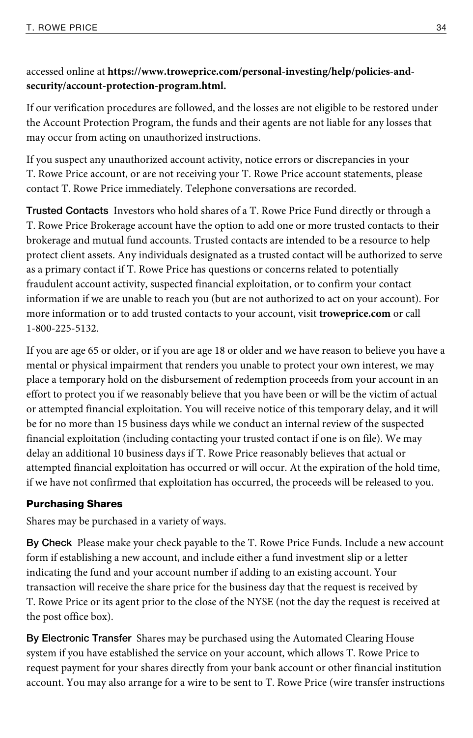# accessed online at **https://www.troweprice.com/personal-investing/help/policies-andsecurity/account-protection-program.html.**

If our verification procedures are followed, and the losses are not eligible to be restored under the Account Protection Program, the funds and their agents are not liable for any losses that may occur from acting on unauthorized instructions.

If you suspect any unauthorized account activity, notice errors or discrepancies in your T. Rowe Price account, or are not receiving your T. Rowe Price account statements, please contact T. Rowe Price immediately. Telephone conversations are recorded.

**Trusted Contacts** Investors who hold shares of a T. Rowe Price Fund directly or through a T. Rowe Price Brokerage account have the option to add one or more trusted contacts to their brokerage and mutual fund accounts. Trusted contacts are intended to be a resource to help protect client assets. Any individuals designated as a trusted contact will be authorized to serve as a primary contact if T. Rowe Price has questions or concerns related to potentially fraudulent account activity, suspected financial exploitation, or to confirm your contact information if we are unable to reach you (but are not authorized to act on your account). For more information or to add trusted contacts to your account, visit **troweprice.com** or call 1-800-225-5132.

If you are age 65 or older, or if you are age 18 or older and we have reason to believe you have a mental or physical impairment that renders you unable to protect your own interest, we may place a temporary hold on the disbursement of redemption proceeds from your account in an effort to protect you if we reasonably believe that you have been or will be the victim of actual or attempted financial exploitation. You will receive notice of this temporary delay, and it will be for no more than 15 business days while we conduct an internal review of the suspected financial exploitation (including contacting your trusted contact if one is on file). We may delay an additional 10 business days if T. Rowe Price reasonably believes that actual or attempted financial exploitation has occurred or will occur. At the expiration of the hold time, if we have not confirmed that exploitation has occurred, the proceeds will be released to you.

# Purchasing Shares

Shares may be purchased in a variety of ways.

**By Check** Please make your check payable to the T. Rowe Price Funds. Include a new account form if establishing a new account, and include either a fund investment slip or a letter indicating the fund and your account number if adding to an existing account. Your transaction will receive the share price for the business day that the request is received by T. Rowe Price or its agent prior to the close of the NYSE (not the day the request is received at the post office box).

**By Electronic Transfer** Shares may be purchased using the Automated Clearing House system if you have established the service on your account, which allows T. Rowe Price to request payment for your shares directly from your bank account or other financial institution account. You may also arrange for a wire to be sent to T. Rowe Price (wire transfer instructions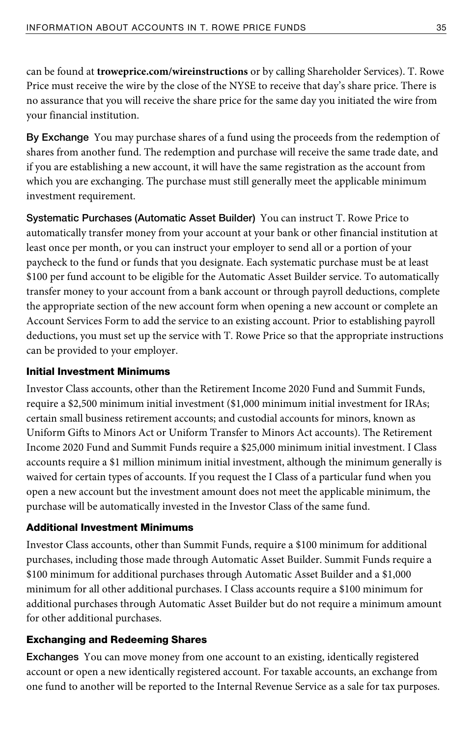can be found at **troweprice.com/wireinstructions** or by calling Shareholder Services). T. Rowe Price must receive the wire by the close of the NYSE to receive that day's share price. There is no assurance that you will receive the share price for the same day you initiated the wire from your financial institution.

**By Exchange** You may purchase shares of a fund using the proceeds from the redemption of shares from another fund. The redemption and purchase will receive the same trade date, and if you are establishing a new account, it will have the same registration as the account from which you are exchanging. The purchase must still generally meet the applicable minimum investment requirement.

**Systematic Purchases (Automatic Asset Builder)** You can instruct T. Rowe Price to automatically transfer money from your account at your bank or other financial institution at least once per month, or you can instruct your employer to send all or a portion of your paycheck to the fund or funds that you designate. Each systematic purchase must be at least \$100 per fund account to be eligible for the Automatic Asset Builder service. To automatically transfer money to your account from a bank account or through payroll deductions, complete the appropriate section of the new account form when opening a new account or complete an Account Services Form to add the service to an existing account. Prior to establishing payroll deductions, you must set up the service with T. Rowe Price so that the appropriate instructions can be provided to your employer.

#### Initial Investment Minimums

Investor Class accounts, other than the Retirement Income 2020 Fund and Summit Funds, require a \$2,500 minimum initial investment (\$1,000 minimum initial investment for IRAs; certain small business retirement accounts; and custodial accounts for minors, known as Uniform Gifts to Minors Act or Uniform Transfer to Minors Act accounts). The Retirement Income 2020 Fund and Summit Funds require a \$25,000 minimum initial investment. I Class accounts require a \$1 million minimum initial investment, although the minimum generally is waived for certain types of accounts. If you request the I Class of a particular fund when you open a new account but the investment amount does not meet the applicable minimum, the purchase will be automatically invested in the Investor Class of the same fund.

#### Additional Investment Minimums

Investor Class accounts, other than Summit Funds, require a \$100 minimum for additional purchases, including those made through Automatic Asset Builder. Summit Funds require a \$100 minimum for additional purchases through Automatic Asset Builder and a \$1,000 minimum for all other additional purchases. I Class accounts require a \$100 minimum for additional purchases through Automatic Asset Builder but do not require a minimum amount for other additional purchases.

# Exchanging and Redeeming Shares

**Exchanges** You can move money from one account to an existing, identically registered account or open a new identically registered account. For taxable accounts, an exchange from one fund to another will be reported to the Internal Revenue Service as a sale for tax purposes.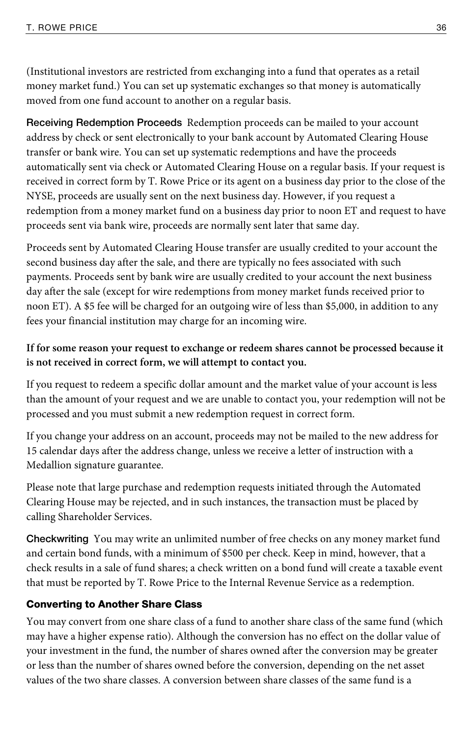(Institutional investors are restricted from exchanging into a fund that operates as a retail money market fund.) You can set up systematic exchanges so that money is automatically moved from one fund account to another on a regular basis.

**Receiving Redemption Proceeds** Redemption proceeds can be mailed to your account address by check or sent electronically to your bank account by Automated Clearing House transfer or bank wire. You can set up systematic redemptions and have the proceeds automatically sent via check or Automated Clearing House on a regular basis. If your request is received in correct form by T. Rowe Price or its agent on a business day prior to the close of the NYSE, proceeds are usually sent on the next business day. However, if you request a redemption from a money market fund on a business day prior to noon ET and request to have proceeds sent via bank wire, proceeds are normally sent later that same day.

Proceeds sent by Automated Clearing House transfer are usually credited to your account the second business day after the sale, and there are typically no fees associated with such payments. Proceeds sent by bank wire are usually credited to your account the next business day after the sale (except for wire redemptions from money market funds received prior to noon ET). A \$5 fee will be charged for an outgoing wire of less than \$5,000, in addition to any fees your financial institution may charge for an incoming wire.

# **If for some reason your request to exchange or redeem shares cannot be processed because it is not received in correct form, we will attempt to contact you.**

If you request to redeem a specific dollar amount and the market value of your account is less than the amount of your request and we are unable to contact you, your redemption will not be processed and you must submit a new redemption request in correct form.

If you change your address on an account, proceeds may not be mailed to the new address for 15 calendar days after the address change, unless we receive a letter of instruction with a Medallion signature guarantee.

Please note that large purchase and redemption requests initiated through the Automated Clearing House may be rejected, and in such instances, the transaction must be placed by calling Shareholder Services.

**Checkwriting** You may write an unlimited number of free checks on any money market fund and certain bond funds, with a minimum of \$500 per check. Keep in mind, however, that a check results in a sale of fund shares; a check written on a bond fund will create a taxable event that must be reported by T. Rowe Price to the Internal Revenue Service as a redemption.

# Converting to Another Share Class

You may convert from one share class of a fund to another share class of the same fund (which may have a higher expense ratio). Although the conversion has no effect on the dollar value of your investment in the fund, the number of shares owned after the conversion may be greater or less than the number of shares owned before the conversion, depending on the net asset values of the two share classes. A conversion between share classes of the same fund is a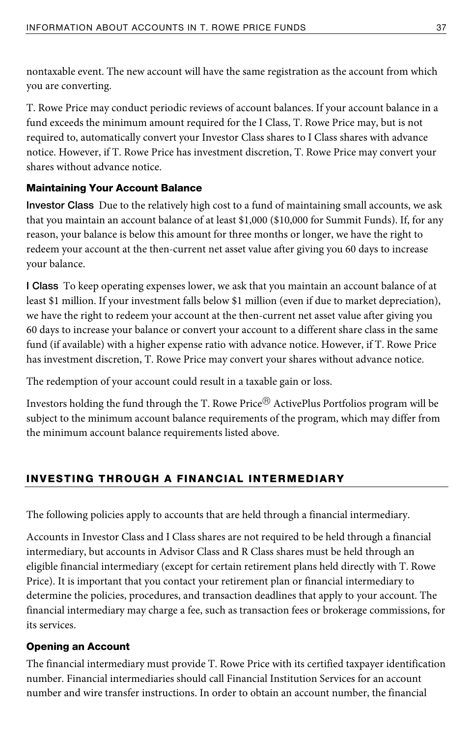nontaxable event. The new account will have the same registration as the account from which you are converting.

T. Rowe Price may conduct periodic reviews of account balances. If your account balance in a fund exceeds the minimum amount required for the I Class, T. Rowe Price may, but is not required to, automatically convert your Investor Class shares to I Class shares with advance notice. However, if T. Rowe Price has investment discretion, T. Rowe Price may convert your shares without advance notice.

# Maintaining Your Account Balance

**Investor Class** Due to the relatively high cost to a fund of maintaining small accounts, we ask that you maintain an account balance of at least \$1,000 (\$10,000 for Summit Funds). If, for any reason, your balance is below this amount for three months or longer, we have the right to redeem your account at the then-current net asset value after giving you 60 days to increase your balance.

**I Class** To keep operating expenses lower, we ask that you maintain an account balance of at least \$1 million. If your investment falls below \$1 million (even if due to market depreciation), we have the right to redeem your account at the then-current net asset value after giving you 60 days to increase your balance or convert your account to a different share class in the same fund (if available) with a higher expense ratio with advance notice. However, if T. Rowe Price has investment discretion, T. Rowe Price may convert your shares without advance notice.

The redemption of your account could result in a taxable gain or loss.

Investors holding the fund through the T. Rowe Price® ActivePlus Portfolios program will be subject to the minimum account balance requirements of the program, which may differ from the minimum account balance requirements listed above.

# INVESTING THROUGH A FINANCIAL INTERMEDIARY

The following policies apply to accounts that are held through a financial intermediary.

Accounts in Investor Class and I Class shares are not required to be held through a financial intermediary, but accounts in Advisor Class and R Class shares must be held through an eligible financial intermediary (except for certain retirement plans held directly with T. Rowe Price). It is important that you contact your retirement plan or financial intermediary to determine the policies, procedures, and transaction deadlines that apply to your account. The financial intermediary may charge a fee, such as transaction fees or brokerage commissions, for its services.

# Opening an Account

The financial intermediary must provide T. Rowe Price with its certified taxpayer identification number. Financial intermediaries should call Financial Institution Services for an account number and wire transfer instructions. In order to obtain an account number, the financial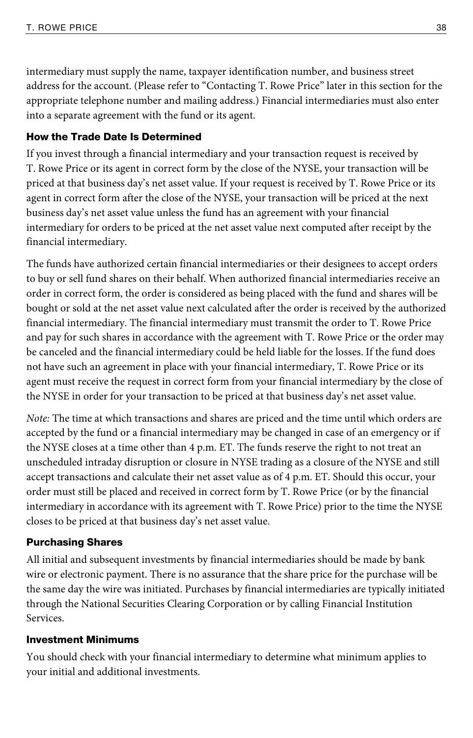intermediary must supply the name, taxpayer identification number, and business street address for the account. (Please refer to "Contacting T. Rowe Price" later in this section for the appropriate telephone number and mailing address.) Financial intermediaries must also enter into a separate agreement with the fund or its agent.

#### How the Trade Date Is Determined

If you invest through a financial intermediary and your transaction request is received by T. Rowe Price or its agent in correct form by the close of the NYSE, your transaction will be priced at that business day's net asset value. If your request is received by T. Rowe Price or its agent in correct form after the close of the NYSE, your transaction will be priced at the next business day's net asset value unless the fund has an agreement with your financial intermediary for orders to be priced at the net asset value next computed after receipt by the financial intermediary.

The funds have authorized certain financial intermediaries or their designees to accept orders to buy or sell fund shares on their behalf. When authorized financial intermediaries receive an order in correct form, the order is considered as being placed with the fund and shares will be bought or sold at the net asset value next calculated after the order is received by the authorized financial intermediary. The financial intermediary must transmit the order to T. Rowe Price and pay for such shares in accordance with the agreement with T. Rowe Price or the order may be canceled and the financial intermediary could be held liable for the losses. If the fund does not have such an agreement in place with your financial intermediary, T. Rowe Price or its agent must receive the request in correct form from your financial intermediary by the close of the NYSE in order for your transaction to be priced at that business day's net asset value.

Note: The time at which transactions and shares are priced and the time until which orders are accepted by the fund or a financial intermediary may be changed in case of an emergency or if the NYSE closes at a time other than 4 p.m. ET. The funds reserve the right to not treat an unscheduled intraday disruption or closure in NYSE trading as a closure of the NYSE and still accept transactions and calculate their net asset value as of 4 p.m. ET. Should this occur, your order must still be placed and received in correct form by T. Rowe Price (or by the financial intermediary in accordance with its agreement with T. Rowe Price) prior to the time the NYSE closes to be priced at that business day's net asset value.

#### Purchasing Shares

All initial and subsequent investments by financial intermediaries should be made by bank wire or electronic payment. There is no assurance that the share price for the purchase will be the same day the wire was initiated. Purchases by financial intermediaries are typically initiated through the National Securities Clearing Corporation or by calling Financial Institution Services.

#### Investment Minimums

You should check with your financial intermediary to determine what minimum applies to your initial and additional investments.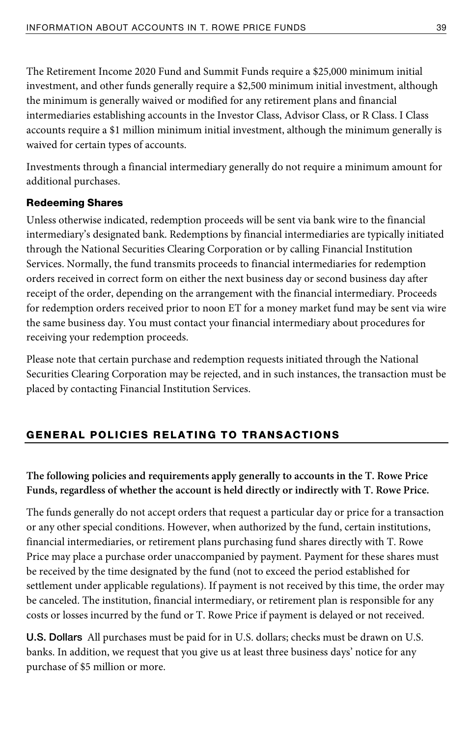The Retirement Income 2020 Fund and Summit Funds require a \$25,000 minimum initial investment, and other funds generally require a \$2,500 minimum initial investment, although the minimum is generally waived or modified for any retirement plans and financial intermediaries establishing accounts in the Investor Class, Advisor Class, or R Class. I Class accounts require a \$1 million minimum initial investment, although the minimum generally is waived for certain types of accounts.

Investments through a financial intermediary generally do not require a minimum amount for additional purchases.

### Redeeming Shares

Unless otherwise indicated, redemption proceeds will be sent via bank wire to the financial intermediary's designated bank. Redemptions by financial intermediaries are typically initiated through the National Securities Clearing Corporation or by calling Financial Institution Services. Normally, the fund transmits proceeds to financial intermediaries for redemption orders received in correct form on either the next business day or second business day after receipt of the order, depending on the arrangement with the financial intermediary. Proceeds for redemption orders received prior to noon ET for a money market fund may be sent via wire the same business day. You must contact your financial intermediary about procedures for receiving your redemption proceeds.

Please note that certain purchase and redemption requests initiated through the National Securities Clearing Corporation may be rejected, and in such instances, the transaction must be placed by contacting Financial Institution Services.

# GENERAL POLICIES RELATING TO TRANSACTIONS

**The following policies and requirements apply generally to accounts in the T. Rowe Price Funds, regardless of whether the account is held directly or indirectly with T. Rowe Price.** 

The funds generally do not accept orders that request a particular day or price for a transaction or any other special conditions. However, when authorized by the fund, certain institutions, financial intermediaries, or retirement plans purchasing fund shares directly with T. Rowe Price may place a purchase order unaccompanied by payment. Payment for these shares must be received by the time designated by the fund (not to exceed the period established for settlement under applicable regulations). If payment is not received by this time, the order may be canceled. The institution, financial intermediary, or retirement plan is responsible for any costs or losses incurred by the fund or T. Rowe Price if payment is delayed or not received.

**U.S. Dollars** All purchases must be paid for in U.S. dollars; checks must be drawn on U.S. banks. In addition, we request that you give us at least three business days' notice for any purchase of \$5 million or more.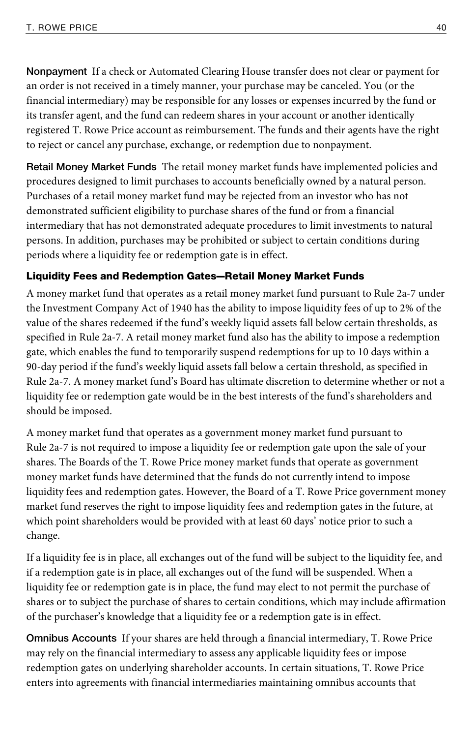**Nonpayment** If a check or Automated Clearing House transfer does not clear or payment for an order is not received in a timely manner, your purchase may be canceled. You (or the financial intermediary) may be responsible for any losses or expenses incurred by the fund or its transfer agent, and the fund can redeem shares in your account or another identically registered T. Rowe Price account as reimbursement. The funds and their agents have the right to reject or cancel any purchase, exchange, or redemption due to nonpayment.

**Retail Money Market Funds** The retail money market funds have implemented policies and procedures designed to limit purchases to accounts beneficially owned by a natural person. Purchases of a retail money market fund may be rejected from an investor who has not demonstrated sufficient eligibility to purchase shares of the fund or from a financial intermediary that has not demonstrated adequate procedures to limit investments to natural persons. In addition, purchases may be prohibited or subject to certain conditions during periods where a liquidity fee or redemption gate is in effect.

# Liquidity Fees and Redemption Gates—Retail Money Market Funds

A money market fund that operates as a retail money market fund pursuant to Rule 2a-7 under the Investment Company Act of 1940 has the ability to impose liquidity fees of up to 2% of the value of the shares redeemed if the fund's weekly liquid assets fall below certain thresholds, as specified in Rule 2a-7. A retail money market fund also has the ability to impose a redemption gate, which enables the fund to temporarily suspend redemptions for up to 10 days within a 90-day period if the fund's weekly liquid assets fall below a certain threshold, as specified in Rule 2a-7. A money market fund's Board has ultimate discretion to determine whether or not a liquidity fee or redemption gate would be in the best interests of the fund's shareholders and should be imposed.

A money market fund that operates as a government money market fund pursuant to Rule 2a-7 is not required to impose a liquidity fee or redemption gate upon the sale of your shares. The Boards of the T. Rowe Price money market funds that operate as government money market funds have determined that the funds do not currently intend to impose liquidity fees and redemption gates. However, the Board of a T. Rowe Price government money market fund reserves the right to impose liquidity fees and redemption gates in the future, at which point shareholders would be provided with at least 60 days' notice prior to such a change.

If a liquidity fee is in place, all exchanges out of the fund will be subject to the liquidity fee, and if a redemption gate is in place, all exchanges out of the fund will be suspended. When a liquidity fee or redemption gate is in place, the fund may elect to not permit the purchase of shares or to subject the purchase of shares to certain conditions, which may include affirmation of the purchaser's knowledge that a liquidity fee or a redemption gate is in effect.

**Omnibus Accounts** If your shares are held through a financial intermediary, T. Rowe Price may rely on the financial intermediary to assess any applicable liquidity fees or impose redemption gates on underlying shareholder accounts. In certain situations, T. Rowe Price enters into agreements with financial intermediaries maintaining omnibus accounts that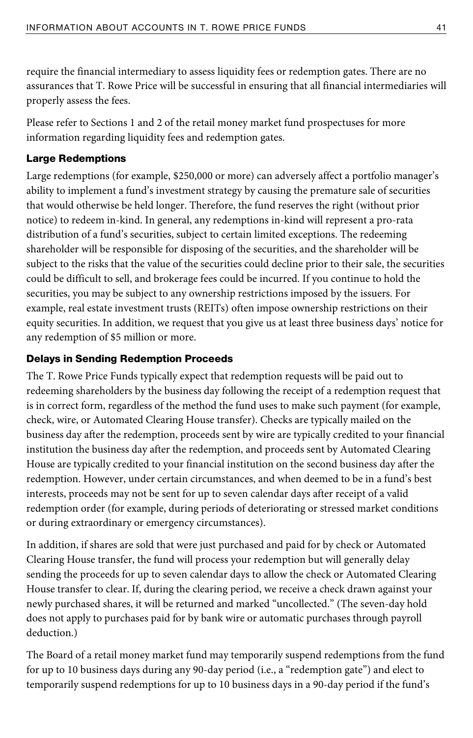require the financial intermediary to assess liquidity fees or redemption gates. There are no assurances that T. Rowe Price will be successful in ensuring that all financial intermediaries will properly assess the fees.

Please refer to Sections 1 and 2 of the retail money market fund prospectuses for more information regarding liquidity fees and redemption gates.

## Large Redemptions

Large redemptions (for example, \$250,000 or more) can adversely affect a portfolio manager's ability to implement a fund's investment strategy by causing the premature sale of securities that would otherwise be held longer. Therefore, the fund reserves the right (without prior notice) to redeem in-kind. In general, any redemptions in-kind will represent a pro-rata distribution of a fund's securities, subject to certain limited exceptions. The redeeming shareholder will be responsible for disposing of the securities, and the shareholder will be subject to the risks that the value of the securities could decline prior to their sale, the securities could be difficult to sell, and brokerage fees could be incurred. If you continue to hold the securities, you may be subject to any ownership restrictions imposed by the issuers. For example, real estate investment trusts (REITs) often impose ownership restrictions on their equity securities. In addition, we request that you give us at least three business days' notice for any redemption of \$5 million or more.

### Delays in Sending Redemption Proceeds

The T. Rowe Price Funds typically expect that redemption requests will be paid out to redeeming shareholders by the business day following the receipt of a redemption request that is in correct form, regardless of the method the fund uses to make such payment (for example, check, wire, or Automated Clearing House transfer). Checks are typically mailed on the business day after the redemption, proceeds sent by wire are typically credited to your financial institution the business day after the redemption, and proceeds sent by Automated Clearing House are typically credited to your financial institution on the second business day after the redemption. However, under certain circumstances, and when deemed to be in a fund's best interests, proceeds may not be sent for up to seven calendar days after receipt of a valid redemption order (for example, during periods of deteriorating or stressed market conditions or during extraordinary or emergency circumstances).

In addition, if shares are sold that were just purchased and paid for by check or Automated Clearing House transfer, the fund will process your redemption but will generally delay sending the proceeds for up to seven calendar days to allow the check or Automated Clearing House transfer to clear. If, during the clearing period, we receive a check drawn against your newly purchased shares, it will be returned and marked "uncollected." (The seven-day hold does not apply to purchases paid for by bank wire or automatic purchases through payroll deduction.)

The Board of a retail money market fund may temporarily suspend redemptions from the fund for up to 10 business days during any 90-day period (i.e., a "redemption gate") and elect to temporarily suspend redemptions for up to 10 business days in a 90-day period if the fund's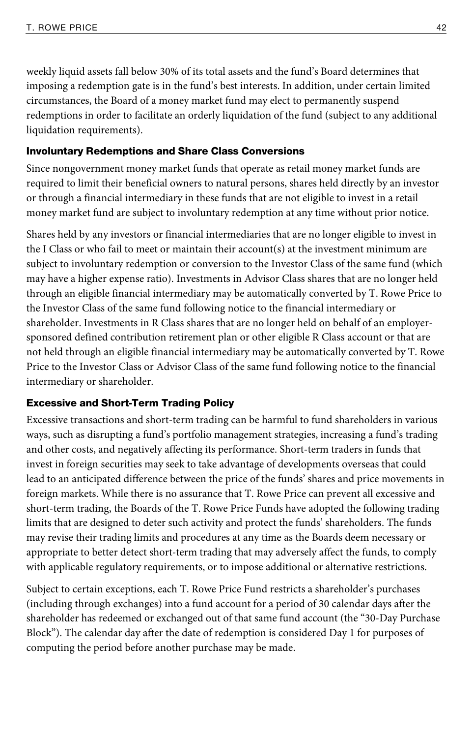weekly liquid assets fall below 30% of its total assets and the fund's Board determines that imposing a redemption gate is in the fund's best interests. In addition, under certain limited circumstances, the Board of a money market fund may elect to permanently suspend redemptions in order to facilitate an orderly liquidation of the fund (subject to any additional liquidation requirements).

#### Involuntary Redemptions and Share Class Conversions

Since nongovernment money market funds that operate as retail money market funds are required to limit their beneficial owners to natural persons, shares held directly by an investor or through a financial intermediary in these funds that are not eligible to invest in a retail money market fund are subject to involuntary redemption at any time without prior notice.

Shares held by any investors or financial intermediaries that are no longer eligible to invest in the I Class or who fail to meet or maintain their account(s) at the investment minimum are subject to involuntary redemption or conversion to the Investor Class of the same fund (which may have a higher expense ratio). Investments in Advisor Class shares that are no longer held through an eligible financial intermediary may be automatically converted by T. Rowe Price to the Investor Class of the same fund following notice to the financial intermediary or shareholder. Investments in R Class shares that are no longer held on behalf of an employersponsored defined contribution retirement plan or other eligible R Class account or that are not held through an eligible financial intermediary may be automatically converted by T. Rowe Price to the Investor Class or Advisor Class of the same fund following notice to the financial intermediary or shareholder.

#### Excessive and Short-Term Trading Policy

Excessive transactions and short-term trading can be harmful to fund shareholders in various ways, such as disrupting a fund's portfolio management strategies, increasing a fund's trading and other costs, and negatively affecting its performance. Short-term traders in funds that invest in foreign securities may seek to take advantage of developments overseas that could lead to an anticipated difference between the price of the funds' shares and price movements in foreign markets. While there is no assurance that T. Rowe Price can prevent all excessive and short-term trading, the Boards of the T. Rowe Price Funds have adopted the following trading limits that are designed to deter such activity and protect the funds' shareholders. The funds may revise their trading limits and procedures at any time as the Boards deem necessary or appropriate to better detect short-term trading that may adversely affect the funds, to comply with applicable regulatory requirements, or to impose additional or alternative restrictions.

Subject to certain exceptions, each T. Rowe Price Fund restricts a shareholder's purchases (including through exchanges) into a fund account for a period of 30 calendar days after the shareholder has redeemed or exchanged out of that same fund account (the "30-Day Purchase Block"). The calendar day after the date of redemption is considered Day 1 for purposes of computing the period before another purchase may be made.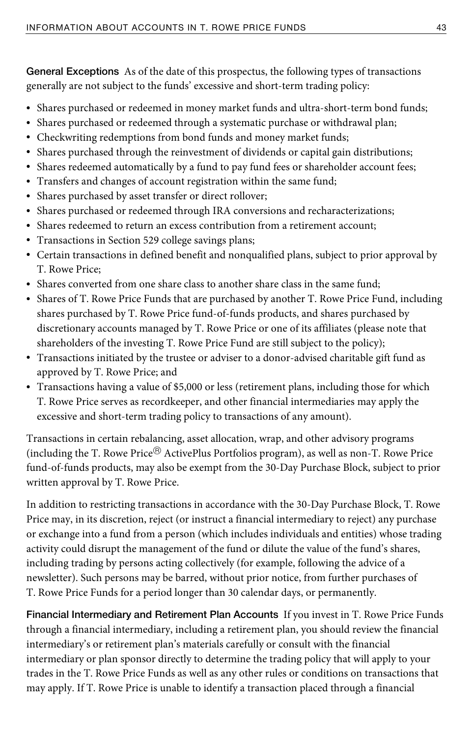**General Exceptions** As of the date of this prospectus, the following types of transactions generally are not subject to the funds' excessive and short-term trading policy:

- Shares purchased or redeemed in money market funds and ultra-short-term bond funds;
- Shares purchased or redeemed through a systematic purchase or withdrawal plan;
- Checkwriting redemptions from bond funds and money market funds;
- Shares purchased through the reinvestment of dividends or capital gain distributions;
- Shares redeemed automatically by a fund to pay fund fees or shareholder account fees;
- Transfers and changes of account registration within the same fund;
- Shares purchased by asset transfer or direct rollover;
- Shares purchased or redeemed through IRA conversions and recharacterizations;
- Shares redeemed to return an excess contribution from a retirement account;
- Transactions in Section 529 college savings plans;
- Certain transactions in defined benefit and nonqualified plans, subject to prior approval by T. Rowe Price;
- Shares converted from one share class to another share class in the same fund;
- Shares of T. Rowe Price Funds that are purchased by another T. Rowe Price Fund, including shares purchased by T. Rowe Price fund-of-funds products, and shares purchased by discretionary accounts managed by T. Rowe Price or one of its affiliates (please note that shareholders of the investing T. Rowe Price Fund are still subject to the policy);
- Transactions initiated by the trustee or adviser to a donor-advised charitable gift fund as approved by T. Rowe Price; and
- Transactions having a value of \$5,000 or less (retirement plans, including those for which T. Rowe Price serves as recordkeeper, and other financial intermediaries may apply the excessive and short-term trading policy to transactions of any amount).

Transactions in certain rebalancing, asset allocation, wrap, and other advisory programs (including the T. Rowe Price® ActivePlus Portfolios program), as well as non-T. Rowe Price fund-of-funds products, may also be exempt from the 30-Day Purchase Block, subject to prior written approval by T. Rowe Price.

In addition to restricting transactions in accordance with the 30-Day Purchase Block, T. Rowe Price may, in its discretion, reject (or instruct a financial intermediary to reject) any purchase or exchange into a fund from a person (which includes individuals and entities) whose trading activity could disrupt the management of the fund or dilute the value of the fund's shares, including trading by persons acting collectively (for example, following the advice of a newsletter). Such persons may be barred, without prior notice, from further purchases of T. Rowe Price Funds for a period longer than 30 calendar days, or permanently.

**Financial Intermediary and Retirement Plan Accounts** If you invest in T. Rowe Price Funds through a financial intermediary, including a retirement plan, you should review the financial intermediary's or retirement plan's materials carefully or consult with the financial intermediary or plan sponsor directly to determine the trading policy that will apply to your trades in the T. Rowe Price Funds as well as any other rules or conditions on transactions that may apply. If T. Rowe Price is unable to identify a transaction placed through a financial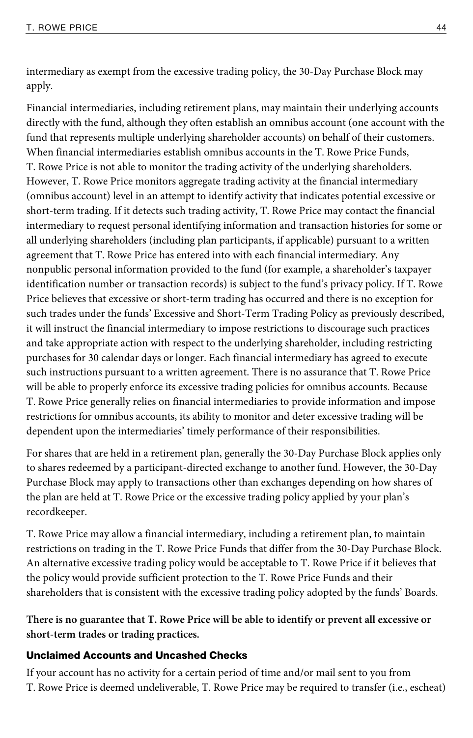intermediary as exempt from the excessive trading policy, the 30-Day Purchase Block may apply.

Financial intermediaries, including retirement plans, may maintain their underlying accounts directly with the fund, although they often establish an omnibus account (one account with the fund that represents multiple underlying shareholder accounts) on behalf of their customers. When financial intermediaries establish omnibus accounts in the T. Rowe Price Funds, T. Rowe Price is not able to monitor the trading activity of the underlying shareholders. However, T. Rowe Price monitors aggregate trading activity at the financial intermediary (omnibus account) level in an attempt to identify activity that indicates potential excessive or short-term trading. If it detects such trading activity, T. Rowe Price may contact the financial intermediary to request personal identifying information and transaction histories for some or all underlying shareholders (including plan participants, if applicable) pursuant to a written agreement that T. Rowe Price has entered into with each financial intermediary. Any nonpublic personal information provided to the fund (for example, a shareholder's taxpayer identification number or transaction records) is subject to the fund's privacy policy. If T. Rowe Price believes that excessive or short-term trading has occurred and there is no exception for such trades under the funds' Excessive and Short-Term Trading Policy as previously described, it will instruct the financial intermediary to impose restrictions to discourage such practices and take appropriate action with respect to the underlying shareholder, including restricting purchases for 30 calendar days or longer. Each financial intermediary has agreed to execute such instructions pursuant to a written agreement. There is no assurance that T. Rowe Price will be able to properly enforce its excessive trading policies for omnibus accounts. Because T. Rowe Price generally relies on financial intermediaries to provide information and impose restrictions for omnibus accounts, its ability to monitor and deter excessive trading will be dependent upon the intermediaries' timely performance of their responsibilities.

For shares that are held in a retirement plan, generally the 30-Day Purchase Block applies only to shares redeemed by a participant-directed exchange to another fund. However, the 30-Day Purchase Block may apply to transactions other than exchanges depending on how shares of the plan are held at T. Rowe Price or the excessive trading policy applied by your plan's recordkeeper.

T. Rowe Price may allow a financial intermediary, including a retirement plan, to maintain restrictions on trading in the T. Rowe Price Funds that differ from the 30-Day Purchase Block. An alternative excessive trading policy would be acceptable to T. Rowe Price if it believes that the policy would provide sufficient protection to the T. Rowe Price Funds and their shareholders that is consistent with the excessive trading policy adopted by the funds' Boards.

**There is no guarantee that T. Rowe Price will be able to identify or prevent all excessive or short-term trades or trading practices.** 

#### Unclaimed Accounts and Uncashed Checks

If your account has no activity for a certain period of time and/or mail sent to you from T. Rowe Price is deemed undeliverable, T. Rowe Price may be required to transfer (i.e., escheat)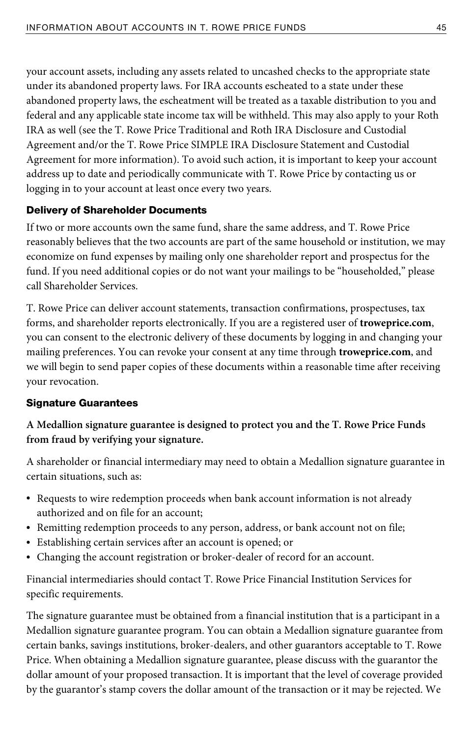your account assets, including any assets related to uncashed checks to the appropriate state under its abandoned property laws. For IRA accounts escheated to a state under these abandoned property laws, the escheatment will be treated as a taxable distribution to you and federal and any applicable state income tax will be withheld. This may also apply to your Roth IRA as well (see the T. Rowe Price Traditional and Roth IRA Disclosure and Custodial Agreement and/or the T. Rowe Price SIMPLE IRA Disclosure Statement and Custodial Agreement for more information). To avoid such action, it is important to keep your account address up to date and periodically communicate with T. Rowe Price by contacting us or logging in to your account at least once every two years.

### Delivery of Shareholder Documents

If two or more accounts own the same fund, share the same address, and T. Rowe Price reasonably believes that the two accounts are part of the same household or institution, we may economize on fund expenses by mailing only one shareholder report and prospectus for the fund. If you need additional copies or do not want your mailings to be "householded," please call Shareholder Services.

T. Rowe Price can deliver account statements, transaction confirmations, prospectuses, tax forms, and shareholder reports electronically. If you are a registered user of **troweprice.com**, you can consent to the electronic delivery of these documents by logging in and changing your mailing preferences. You can revoke your consent at any time through **troweprice.com**, and we will begin to send paper copies of these documents within a reasonable time after receiving your revocation.

#### Signature Guarantees

# **A Medallion signature guarantee is designed to protect you and the T. Rowe Price Funds from fraud by verifying your signature.**

A shareholder or financial intermediary may need to obtain a Medallion signature guarantee in certain situations, such as:

- Requests to wire redemption proceeds when bank account information is not already authorized and on file for an account;
- Remitting redemption proceeds to any person, address, or bank account not on file;
- Establishing certain services after an account is opened; or
- Changing the account registration or broker-dealer of record for an account.

Financial intermediaries should contact T. Rowe Price Financial Institution Services for specific requirements.

The signature guarantee must be obtained from a financial institution that is a participant in a Medallion signature guarantee program. You can obtain a Medallion signature guarantee from certain banks, savings institutions, broker-dealers, and other guarantors acceptable to T. Rowe Price. When obtaining a Medallion signature guarantee, please discuss with the guarantor the dollar amount of your proposed transaction. It is important that the level of coverage provided by the guarantor's stamp covers the dollar amount of the transaction or it may be rejected. We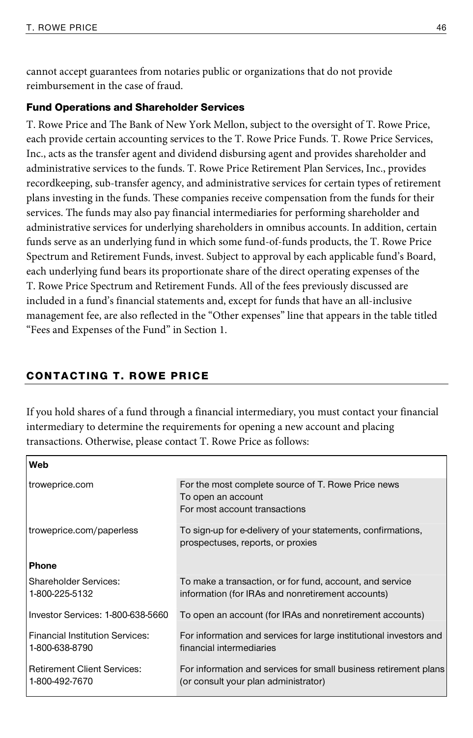cannot accept guarantees from notaries public or organizations that do not provide reimbursement in the case of fraud.

#### Fund Operations and Shareholder Services

T. Rowe Price and The Bank of New York Mellon, subject to the oversight of T. Rowe Price, each provide certain accounting services to the T. Rowe Price Funds. T. Rowe Price Services, Inc., acts as the transfer agent and dividend disbursing agent and provides shareholder and administrative services to the funds. T. Rowe Price Retirement Plan Services, Inc., provides recordkeeping, sub-transfer agency, and administrative services for certain types of retirement plans investing in the funds. These companies receive compensation from the funds for their services. The funds may also pay financial intermediaries for performing shareholder and administrative services for underlying shareholders in omnibus accounts. In addition, certain funds serve as an underlying fund in which some fund-of-funds products, the T. Rowe Price Spectrum and Retirement Funds, invest. Subject to approval by each applicable fund's Board, each underlying fund bears its proportionate share of the direct operating expenses of the T. Rowe Price Spectrum and Retirement Funds. All of the fees previously discussed are included in a fund's financial statements and, except for funds that have an all-inclusive management fee, are also reflected in the "Other expenses" line that appears in the table titled "Fees and Expenses of the Fund" in Section 1.

#### CONTACTING T. ROWE PRICE

If you hold shares of a fund through a financial intermediary, you must contact your financial intermediary to determine the requirements for opening a new account and placing transactions. Otherwise, please contact T. Rowe Price as follows:

| Web                                                      |                                                                                                               |
|----------------------------------------------------------|---------------------------------------------------------------------------------------------------------------|
| troweprice.com                                           | For the most complete source of T. Rowe Price news<br>To open an account<br>For most account transactions     |
| troweprice.com/paperless                                 | To sign-up for e-delivery of your statements, confirmations,<br>prospectuses, reports, or proxies             |
| <b>Phone</b>                                             |                                                                                                               |
| Shareholder Services:<br>1-800-225-5132                  | To make a transaction, or for fund, account, and service<br>information (for IRAs and nonretirement accounts) |
| Investor Services: 1-800-638-5660                        | To open an account (for IRAs and nonretirement accounts)                                                      |
| <b>Financial Institution Services:</b><br>1-800-638-8790 | For information and services for large institutional investors and<br>financial intermediaries                |
| <b>Retirement Client Services:</b><br>1-800-492-7670     | For information and services for small business retirement plans<br>(or consult your plan administrator)      |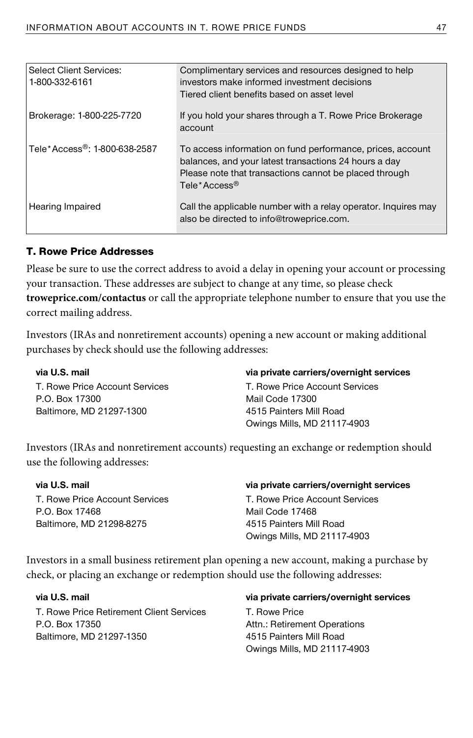| <b>Select Client Services:</b><br>1-800-332-6161 | Complimentary services and resources designed to help<br>investors make informed investment decisions<br>Tiered client benefits based on asset level                                                      |
|--------------------------------------------------|-----------------------------------------------------------------------------------------------------------------------------------------------------------------------------------------------------------|
| Brokerage: 1-800-225-7720                        | If you hold your shares through a T. Rowe Price Brokerage<br>account                                                                                                                                      |
| Tele*Access <sup>®</sup> : 1-800-638-2587        | To access information on fund performance, prices, account<br>balances, and your latest transactions 24 hours a day<br>Please note that transactions cannot be placed through<br>Tele*Access <sup>®</sup> |
| Hearing Impaired                                 | Call the applicable number with a relay operator. Inquires may<br>also be directed to info@troweprice.com.                                                                                                |

#### T. Rowe Price Addresses

Please be sure to use the correct address to avoid a delay in opening your account or processing your transaction. These addresses are subject to change at any time, so please check **troweprice.com/contactus** or call the appropriate telephone number to ensure that you use the correct mailing address.

Investors (IRAs and nonretirement accounts) opening a new account or making additional purchases by check should use the following addresses:

**via U.S. mail**  T. Rowe Price Account Services P.O. Box 17300 Baltimore, MD 21297-1300

#### **via private carriers/overnight services**

T. Rowe Price Account Services Mail Code 17300 4515 Painters Mill Road Owings Mills, MD 21117-4903

Investors (IRAs and nonretirement accounts) requesting an exchange or redemption should use the following addresses:

| via U.S. mail                  | via private carriers/overnight services |
|--------------------------------|-----------------------------------------|
| T. Rowe Price Account Services | T. Rowe Price Account Services          |
| P.O. Box 17468                 | Mail Code 17468                         |
| Baltimore, MD 21298-8275       | 4515 Painters Mill Road                 |
|                                | Owings Mills, MD 21117-4903             |

Investors in a small business retirement plan opening a new account, making a purchase by check, or placing an exchange or redemption should use the following addresses:

**via U.S. mail**  T. Rowe Price Retirement Client Services P.O. Box 17350 Baltimore, MD 21297-1350

#### **via private carriers/overnight services**

T. Rowe Price Attn.: Retirement Operations 4515 Painters Mill Road Owings Mills, MD 21117-4903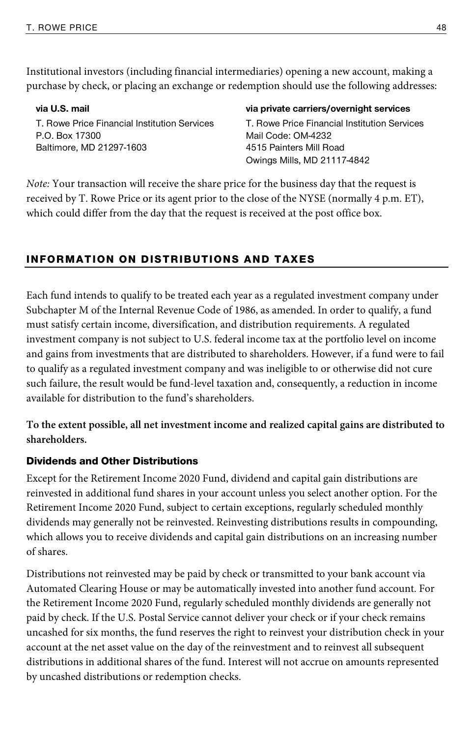Institutional investors (including financial intermediaries) opening a new account, making a purchase by check, or placing an exchange or redemption should use the following addresses:

**via U.S. mail**  T. Rowe Price Financial Institution Services P.O. Box 17300 Baltimore, MD 21297-1603

#### **via private carriers/overnight services**

T. Rowe Price Financial Institution Services Mail Code: OM-4232 4515 Painters Mill Road Owings Mills, MD 21117-4842

Note: Your transaction will receive the share price for the business day that the request is received by T. Rowe Price or its agent prior to the close of the NYSE (normally 4 p.m. ET), which could differ from the day that the request is received at the post office box.

# INFORMATION ON DISTRIBUTIONS AND TAXES

Each fund intends to qualify to be treated each year as a regulated investment company under Subchapter M of the Internal Revenue Code of 1986, as amended. In order to qualify, a fund must satisfy certain income, diversification, and distribution requirements. A regulated investment company is not subject to U.S. federal income tax at the portfolio level on income and gains from investments that are distributed to shareholders. However, if a fund were to fail to qualify as a regulated investment company and was ineligible to or otherwise did not cure such failure, the result would be fund-level taxation and, consequently, a reduction in income available for distribution to the fund's shareholders.

**To the extent possible, all net investment income and realized capital gains are distributed to shareholders.** 

#### Dividends and Other Distributions

Except for the Retirement Income 2020 Fund, dividend and capital gain distributions are reinvested in additional fund shares in your account unless you select another option. For the Retirement Income 2020 Fund, subject to certain exceptions, regularly scheduled monthly dividends may generally not be reinvested. Reinvesting distributions results in compounding, which allows you to receive dividends and capital gain distributions on an increasing number of shares.

Distributions not reinvested may be paid by check or transmitted to your bank account via Automated Clearing House or may be automatically invested into another fund account. For the Retirement Income 2020 Fund, regularly scheduled monthly dividends are generally not paid by check. If the U.S. Postal Service cannot deliver your check or if your check remains uncashed for six months, the fund reserves the right to reinvest your distribution check in your account at the net asset value on the day of the reinvestment and to reinvest all subsequent distributions in additional shares of the fund. Interest will not accrue on amounts represented by uncashed distributions or redemption checks.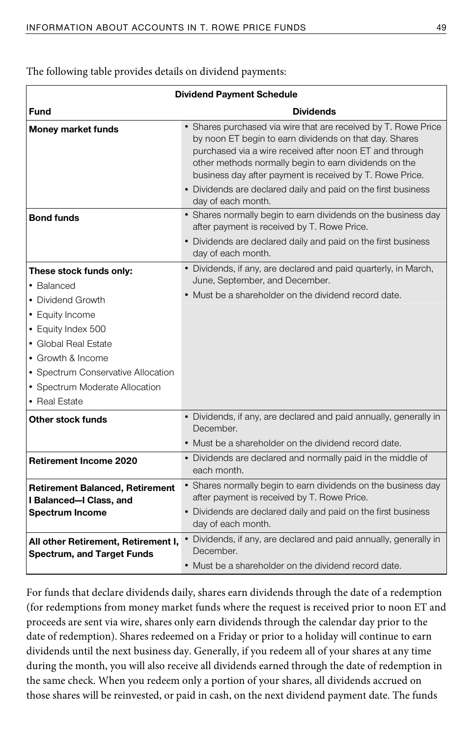The following table provides details on dividend payments:

| <b>Dividend Payment Schedule</b>                                                                                                                                                                                                          |                                                                                                                                                                                                                                                                                                          |
|-------------------------------------------------------------------------------------------------------------------------------------------------------------------------------------------------------------------------------------------|----------------------------------------------------------------------------------------------------------------------------------------------------------------------------------------------------------------------------------------------------------------------------------------------------------|
| Fund                                                                                                                                                                                                                                      | <b>Dividends</b>                                                                                                                                                                                                                                                                                         |
| <b>Money market funds</b>                                                                                                                                                                                                                 | • Shares purchased via wire that are received by T. Rowe Price<br>by noon ET begin to earn dividends on that day. Shares<br>purchased via a wire received after noon ET and through<br>other methods normally begin to earn dividends on the<br>business day after payment is received by T. Rowe Price. |
|                                                                                                                                                                                                                                           | • Dividends are declared daily and paid on the first business<br>day of each month.                                                                                                                                                                                                                      |
| <b>Bond funds</b>                                                                                                                                                                                                                         | • Shares normally begin to earn dividends on the business day<br>after payment is received by T. Rowe Price.<br>• Dividends are declared daily and paid on the first business<br>day of each month.                                                                                                      |
| These stock funds only:<br>• Balanced<br>• Dividend Growth<br>• Equity Income<br>• Equity Index 500<br>• Global Real Estate<br>• Growth & Income<br>• Spectrum Conservative Allocation<br>• Spectrum Moderate Allocation<br>• Real Estate | • Dividends, if any, are declared and paid quarterly, in March,<br>June, September, and December.<br>• Must be a shareholder on the dividend record date.                                                                                                                                                |
| Other stock funds                                                                                                                                                                                                                         | • Dividends, if any, are declared and paid annually, generally in<br>December.<br>• Must be a shareholder on the dividend record date.                                                                                                                                                                   |
| <b>Retirement Income 2020</b>                                                                                                                                                                                                             | • Dividends are declared and normally paid in the middle of<br>each month.                                                                                                                                                                                                                               |
| <b>Retirement Balanced, Retirement</b><br>I Balanced-I Class, and<br><b>Spectrum Income</b>                                                                                                                                               | • Shares normally begin to earn dividends on the business day<br>after payment is received by T. Rowe Price.<br>• Dividends are declared daily and paid on the first business<br>day of each month.                                                                                                      |
| All other Retirement, Retirement I,<br><b>Spectrum, and Target Funds</b>                                                                                                                                                                  | • Dividends, if any, are declared and paid annually, generally in<br>December.<br>• Must be a shareholder on the dividend record date.                                                                                                                                                                   |

For funds that declare dividends daily, shares earn dividends through the date of a redemption (for redemptions from money market funds where the request is received prior to noon ET and proceeds are sent via wire, shares only earn dividends through the calendar day prior to the date of redemption). Shares redeemed on a Friday or prior to a holiday will continue to earn dividends until the next business day. Generally, if you redeem all of your shares at any time during the month, you will also receive all dividends earned through the date of redemption in the same check. When you redeem only a portion of your shares, all dividends accrued on those shares will be reinvested, or paid in cash, on the next dividend payment date. The funds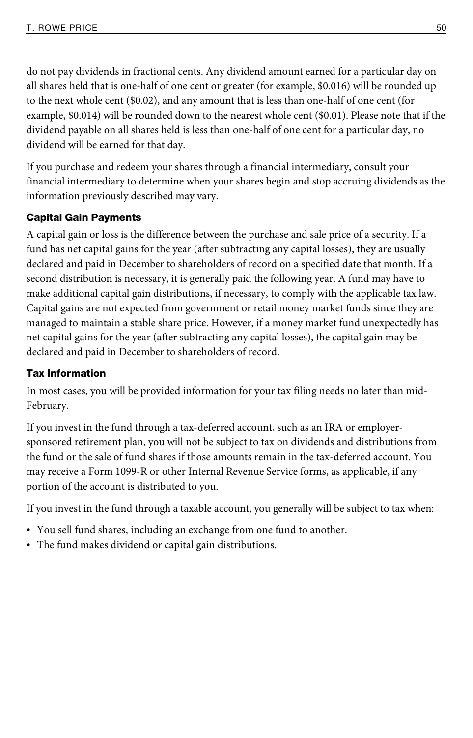do not pay dividends in fractional cents. Any dividend amount earned for a particular day on all shares held that is one-half of one cent or greater (for example, \$0.016) will be rounded up to the next whole cent (\$0.02), and any amount that is less than one-half of one cent (for example, \$0.014) will be rounded down to the nearest whole cent (\$0.01). Please note that if the dividend payable on all shares held is less than one-half of one cent for a particular day, no dividend will be earned for that day.

If you purchase and redeem your shares through a financial intermediary, consult your financial intermediary to determine when your shares begin and stop accruing dividends as the information previously described may vary.

# Capital Gain Payments

A capital gain or loss is the difference between the purchase and sale price of a security. If a fund has net capital gains for the year (after subtracting any capital losses), they are usually declared and paid in December to shareholders of record on a specified date that month. If a second distribution is necessary, it is generally paid the following year. A fund may have to make additional capital gain distributions, if necessary, to comply with the applicable tax law. Capital gains are not expected from government or retail money market funds since they are managed to maintain a stable share price. However, if a money market fund unexpectedly has net capital gains for the year (after subtracting any capital losses), the capital gain may be declared and paid in December to shareholders of record.

# Tax Information

In most cases, you will be provided information for your tax filing needs no later than mid-February.

If you invest in the fund through a tax-deferred account, such as an IRA or employersponsored retirement plan, you will not be subject to tax on dividends and distributions from the fund or the sale of fund shares if those amounts remain in the tax-deferred account. You may receive a Form 1099-R or other Internal Revenue Service forms, as applicable, if any portion of the account is distributed to you.

If you invest in the fund through a taxable account, you generally will be subject to tax when:

- You sell fund shares, including an exchange from one fund to another.
- The fund makes dividend or capital gain distributions.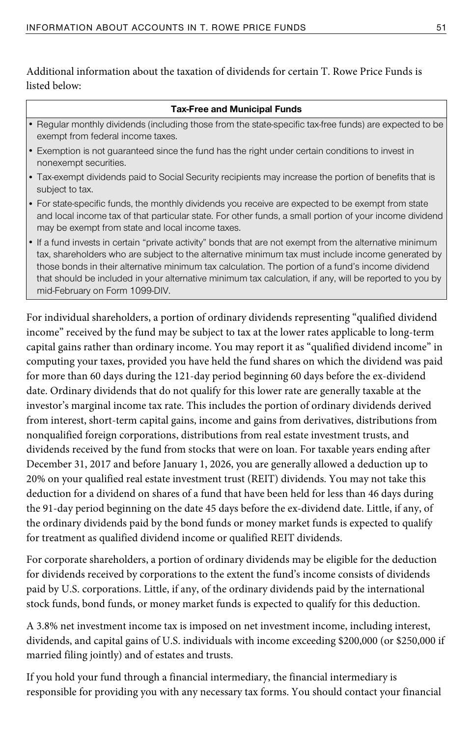Additional information about the taxation of dividends for certain T. Rowe Price Funds is listed below:

#### **Tax-Free and Municipal Funds**

- Regular monthly dividends (including those from the state-specific tax-free funds) are expected to be exempt from federal income taxes.
- Exemption is not guaranteed since the fund has the right under certain conditions to invest in nonexempt securities.
- Tax-exempt dividends paid to Social Security recipients may increase the portion of benefits that is subject to tax.
- For state-specific funds, the monthly dividends you receive are expected to be exempt from state and local income tax of that particular state. For other funds, a small portion of your income dividend may be exempt from state and local income taxes.
- If a fund invests in certain "private activity" bonds that are not exempt from the alternative minimum tax, shareholders who are subject to the alternative minimum tax must include income generated by those bonds in their alternative minimum tax calculation. The portion of a fund's income dividend that should be included in your alternative minimum tax calculation, if any, will be reported to you by mid-February on Form 1099-DIV.

For individual shareholders, a portion of ordinary dividends representing "qualified dividend income" received by the fund may be subject to tax at the lower rates applicable to long-term capital gains rather than ordinary income. You may report it as "qualified dividend income" in computing your taxes, provided you have held the fund shares on which the dividend was paid for more than 60 days during the 121-day period beginning 60 days before the ex-dividend date. Ordinary dividends that do not qualify for this lower rate are generally taxable at the investor's marginal income tax rate. This includes the portion of ordinary dividends derived from interest, short-term capital gains, income and gains from derivatives, distributions from nonqualified foreign corporations, distributions from real estate investment trusts, and dividends received by the fund from stocks that were on loan. For taxable years ending after December 31, 2017 and before January 1, 2026, you are generally allowed a deduction up to 20% on your qualified real estate investment trust (REIT) dividends. You may not take this deduction for a dividend on shares of a fund that have been held for less than 46 days during the 91-day period beginning on the date 45 days before the ex-dividend date. Little, if any, of the ordinary dividends paid by the bond funds or money market funds is expected to qualify for treatment as qualified dividend income or qualified REIT dividends.

For corporate shareholders, a portion of ordinary dividends may be eligible for the deduction for dividends received by corporations to the extent the fund's income consists of dividends paid by U.S. corporations. Little, if any, of the ordinary dividends paid by the international stock funds, bond funds, or money market funds is expected to qualify for this deduction.

A 3.8% net investment income tax is imposed on net investment income, including interest, dividends, and capital gains of U.S. individuals with income exceeding \$200,000 (or \$250,000 if married filing jointly) and of estates and trusts.

If you hold your fund through a financial intermediary, the financial intermediary is responsible for providing you with any necessary tax forms. You should contact your financial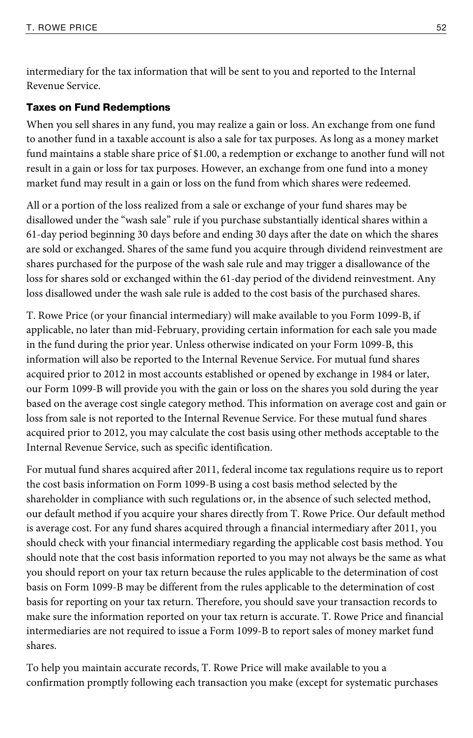intermediary for the tax information that will be sent to you and reported to the Internal Revenue Service.

#### Taxes on Fund Redemptions

When you sell shares in any fund, you may realize a gain or loss. An exchange from one fund to another fund in a taxable account is also a sale for tax purposes. As long as a money market fund maintains a stable share price of \$1.00, a redemption or exchange to another fund will not result in a gain or loss for tax purposes. However, an exchange from one fund into a money market fund may result in a gain or loss on the fund from which shares were redeemed.

All or a portion of the loss realized from a sale or exchange of your fund shares may be disallowed under the "wash sale" rule if you purchase substantially identical shares within a 61-day period beginning 30 days before and ending 30 days after the date on which the shares are sold or exchanged. Shares of the same fund you acquire through dividend reinvestment are shares purchased for the purpose of the wash sale rule and may trigger a disallowance of the loss for shares sold or exchanged within the 61-day period of the dividend reinvestment. Any loss disallowed under the wash sale rule is added to the cost basis of the purchased shares.

T. Rowe Price (or your financial intermediary) will make available to you Form 1099-B, if applicable, no later than mid-February, providing certain information for each sale you made in the fund during the prior year. Unless otherwise indicated on your Form 1099-B, this information will also be reported to the Internal Revenue Service. For mutual fund shares acquired prior to 2012 in most accounts established or opened by exchange in 1984 or later, our Form 1099-B will provide you with the gain or loss on the shares you sold during the year based on the average cost single category method. This information on average cost and gain or loss from sale is not reported to the Internal Revenue Service. For these mutual fund shares acquired prior to 2012, you may calculate the cost basis using other methods acceptable to the Internal Revenue Service, such as specific identification.

For mutual fund shares acquired after 2011, federal income tax regulations require us to report the cost basis information on Form 1099-B using a cost basis method selected by the shareholder in compliance with such regulations or, in the absence of such selected method, our default method if you acquire your shares directly from T. Rowe Price. Our default method is average cost. For any fund shares acquired through a financial intermediary after 2011, you should check with your financial intermediary regarding the applicable cost basis method. You should note that the cost basis information reported to you may not always be the same as what you should report on your tax return because the rules applicable to the determination of cost basis on Form 1099-B may be different from the rules applicable to the determination of cost basis for reporting on your tax return. Therefore, you should save your transaction records to make sure the information reported on your tax return is accurate. T. Rowe Price and financial intermediaries are not required to issue a Form 1099-B to report sales of money market fund shares.

To help you maintain accurate records, T. Rowe Price will make available to you a confirmation promptly following each transaction you make (except for systematic purchases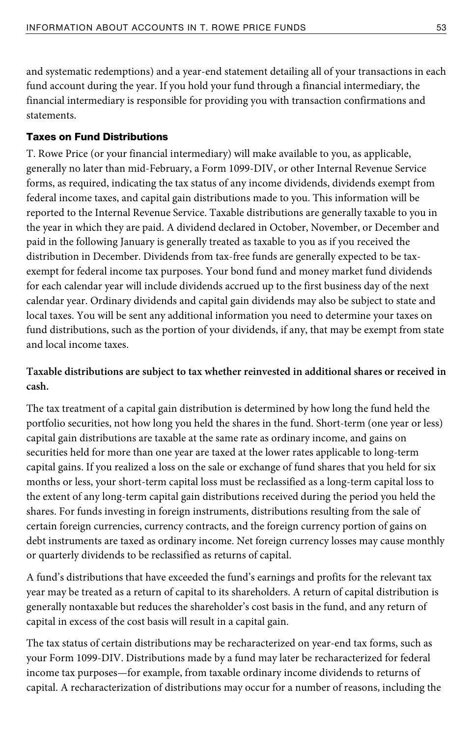and systematic redemptions) and a year-end statement detailing all of your transactions in each fund account during the year. If you hold your fund through a financial intermediary, the financial intermediary is responsible for providing you with transaction confirmations and statements.

#### Taxes on Fund Distributions

T. Rowe Price (or your financial intermediary) will make available to you, as applicable, generally no later than mid-February, a Form 1099-DIV, or other Internal Revenue Service forms, as required, indicating the tax status of any income dividends, dividends exempt from federal income taxes, and capital gain distributions made to you. This information will be reported to the Internal Revenue Service. Taxable distributions are generally taxable to you in the year in which they are paid. A dividend declared in October, November, or December and paid in the following January is generally treated as taxable to you as if you received the distribution in December. Dividends from tax-free funds are generally expected to be taxexempt for federal income tax purposes. Your bond fund and money market fund dividends for each calendar year will include dividends accrued up to the first business day of the next calendar year. Ordinary dividends and capital gain dividends may also be subject to state and local taxes. You will be sent any additional information you need to determine your taxes on fund distributions, such as the portion of your dividends, if any, that may be exempt from state and local income taxes.

# **Taxable distributions are subject to tax whether reinvested in additional shares or received in cash.**

The tax treatment of a capital gain distribution is determined by how long the fund held the portfolio securities, not how long you held the shares in the fund. Short-term (one year or less) capital gain distributions are taxable at the same rate as ordinary income, and gains on securities held for more than one year are taxed at the lower rates applicable to long-term capital gains. If you realized a loss on the sale or exchange of fund shares that you held for six months or less, your short-term capital loss must be reclassified as a long-term capital loss to the extent of any long-term capital gain distributions received during the period you held the shares. For funds investing in foreign instruments, distributions resulting from the sale of certain foreign currencies, currency contracts, and the foreign currency portion of gains on debt instruments are taxed as ordinary income. Net foreign currency losses may cause monthly or quarterly dividends to be reclassified as returns of capital.

A fund's distributions that have exceeded the fund's earnings and profits for the relevant tax year may be treated as a return of capital to its shareholders. A return of capital distribution is generally nontaxable but reduces the shareholder's cost basis in the fund, and any return of capital in excess of the cost basis will result in a capital gain.

The tax status of certain distributions may be recharacterized on year-end tax forms, such as your Form 1099-DIV. Distributions made by a fund may later be recharacterized for federal income tax purposes—for example, from taxable ordinary income dividends to returns of capital. A recharacterization of distributions may occur for a number of reasons, including the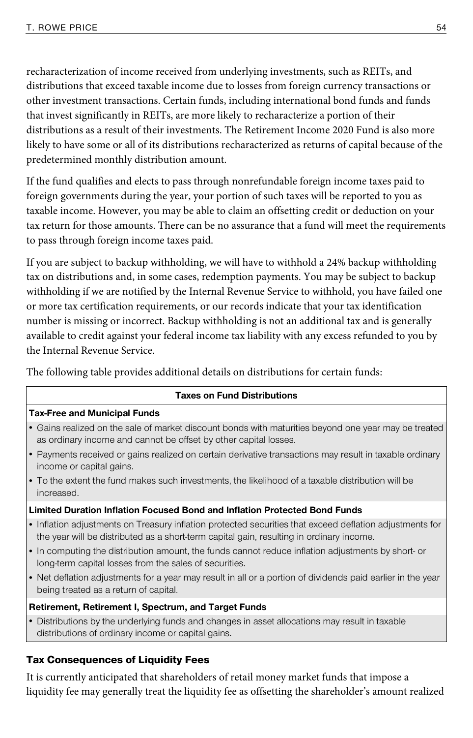recharacterization of income received from underlying investments, such as REITs, and distributions that exceed taxable income due to losses from foreign currency transactions or other investment transactions. Certain funds, including international bond funds and funds that invest significantly in REITs, are more likely to recharacterize a portion of their distributions as a result of their investments. The Retirement Income 2020 Fund is also more likely to have some or all of its distributions recharacterized as returns of capital because of the predetermined monthly distribution amount.

If the fund qualifies and elects to pass through nonrefundable foreign income taxes paid to foreign governments during the year, your portion of such taxes will be reported to you as taxable income. However, you may be able to claim an offsetting credit or deduction on your tax return for those amounts. There can be no assurance that a fund will meet the requirements to pass through foreign income taxes paid.

If you are subject to backup withholding, we will have to withhold a 24% backup withholding tax on distributions and, in some cases, redemption payments. You may be subject to backup withholding if we are notified by the Internal Revenue Service to withhold, you have failed one or more tax certification requirements, or our records indicate that your tax identification number is missing or incorrect. Backup withholding is not an additional tax and is generally available to credit against your federal income tax liability with any excess refunded to you by the Internal Revenue Service.

The following table provides additional details on distributions for certain funds:

#### **Taxes on Fund Distributions**

#### **Tax-Free and Municipal Funds**

- Gains realized on the sale of market discount bonds with maturities beyond one year may be treated as ordinary income and cannot be offset by other capital losses.
- Payments received or gains realized on certain derivative transactions may result in taxable ordinary income or capital gains.
- To the extent the fund makes such investments, the likelihood of a taxable distribution will be increased.

#### **Limited Duration Inflation Focused Bond and Inflation Protected Bond Funds**

- Inflation adjustments on Treasury inflation protected securities that exceed deflation adjustments for the year will be distributed as a short-term capital gain, resulting in ordinary income.
- In computing the distribution amount, the funds cannot reduce inflation adjustments by short- or long-term capital losses from the sales of securities.
- Net deflation adjustments for a year may result in all or a portion of dividends paid earlier in the year being treated as a return of capital.

#### **Retirement, Retirement I, Spectrum, and Target Funds**

• Distributions by the underlying funds and changes in asset allocations may result in taxable distributions of ordinary income or capital gains.

#### Tax Consequences of Liquidity Fees

It is currently anticipated that shareholders of retail money market funds that impose a liquidity fee may generally treat the liquidity fee as offsetting the shareholder's amount realized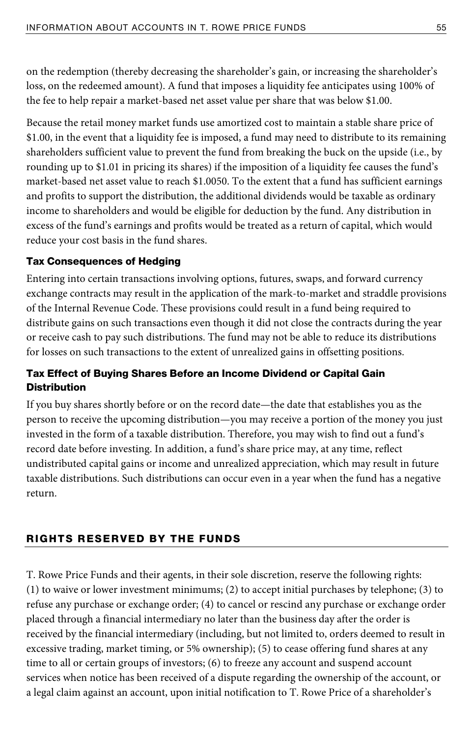on the redemption (thereby decreasing the shareholder's gain, or increasing the shareholder's loss, on the redeemed amount). A fund that imposes a liquidity fee anticipates using 100% of the fee to help repair a market-based net asset value per share that was below \$1.00.

Because the retail money market funds use amortized cost to maintain a stable share price of \$1.00, in the event that a liquidity fee is imposed, a fund may need to distribute to its remaining shareholders sufficient value to prevent the fund from breaking the buck on the upside (i.e., by rounding up to \$1.01 in pricing its shares) if the imposition of a liquidity fee causes the fund's market-based net asset value to reach \$1.0050. To the extent that a fund has sufficient earnings and profits to support the distribution, the additional dividends would be taxable as ordinary income to shareholders and would be eligible for deduction by the fund. Any distribution in excess of the fund's earnings and profits would be treated as a return of capital, which would reduce your cost basis in the fund shares.

#### Tax Consequences of Hedging

Entering into certain transactions involving options, futures, swaps, and forward currency exchange contracts may result in the application of the mark-to-market and straddle provisions of the Internal Revenue Code. These provisions could result in a fund being required to distribute gains on such transactions even though it did not close the contracts during the year or receive cash to pay such distributions. The fund may not be able to reduce its distributions for losses on such transactions to the extent of unrealized gains in offsetting positions.

# Tax Effect of Buying Shares Before an Income Dividend or Capital Gain **Distribution**

If you buy shares shortly before or on the record date—the date that establishes you as the person to receive the upcoming distribution—you may receive a portion of the money you just invested in the form of a taxable distribution. Therefore, you may wish to find out a fund's record date before investing. In addition, a fund's share price may, at any time, reflect undistributed capital gains or income and unrealized appreciation, which may result in future taxable distributions. Such distributions can occur even in a year when the fund has a negative return.

# RIGHTS RESERVED BY THE FUNDS

T. Rowe Price Funds and their agents, in their sole discretion, reserve the following rights: (1) to waive or lower investment minimums; (2) to accept initial purchases by telephone; (3) to refuse any purchase or exchange order; (4) to cancel or rescind any purchase or exchange order placed through a financial intermediary no later than the business day after the order is received by the financial intermediary (including, but not limited to, orders deemed to result in excessive trading, market timing, or 5% ownership); (5) to cease offering fund shares at any time to all or certain groups of investors; (6) to freeze any account and suspend account services when notice has been received of a dispute regarding the ownership of the account, or a legal claim against an account, upon initial notification to T. Rowe Price of a shareholder's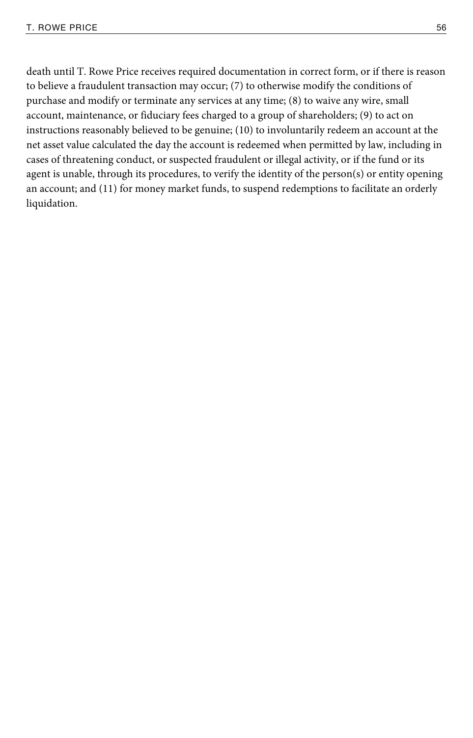death until T. Rowe Price receives required documentation in correct form, or if there is reason to believe a fraudulent transaction may occur; (7) to otherwise modify the conditions of purchase and modify or terminate any services at any time; (8) to waive any wire, small account, maintenance, or fiduciary fees charged to a group of shareholders; (9) to act on instructions reasonably believed to be genuine; (10) to involuntarily redeem an account at the net asset value calculated the day the account is redeemed when permitted by law, including in cases of threatening conduct, or suspected fraudulent or illegal activity, or if the fund or its agent is unable, through its procedures, to verify the identity of the person(s) or entity opening an account; and (11) for money market funds, to suspend redemptions to facilitate an orderly liquidation.